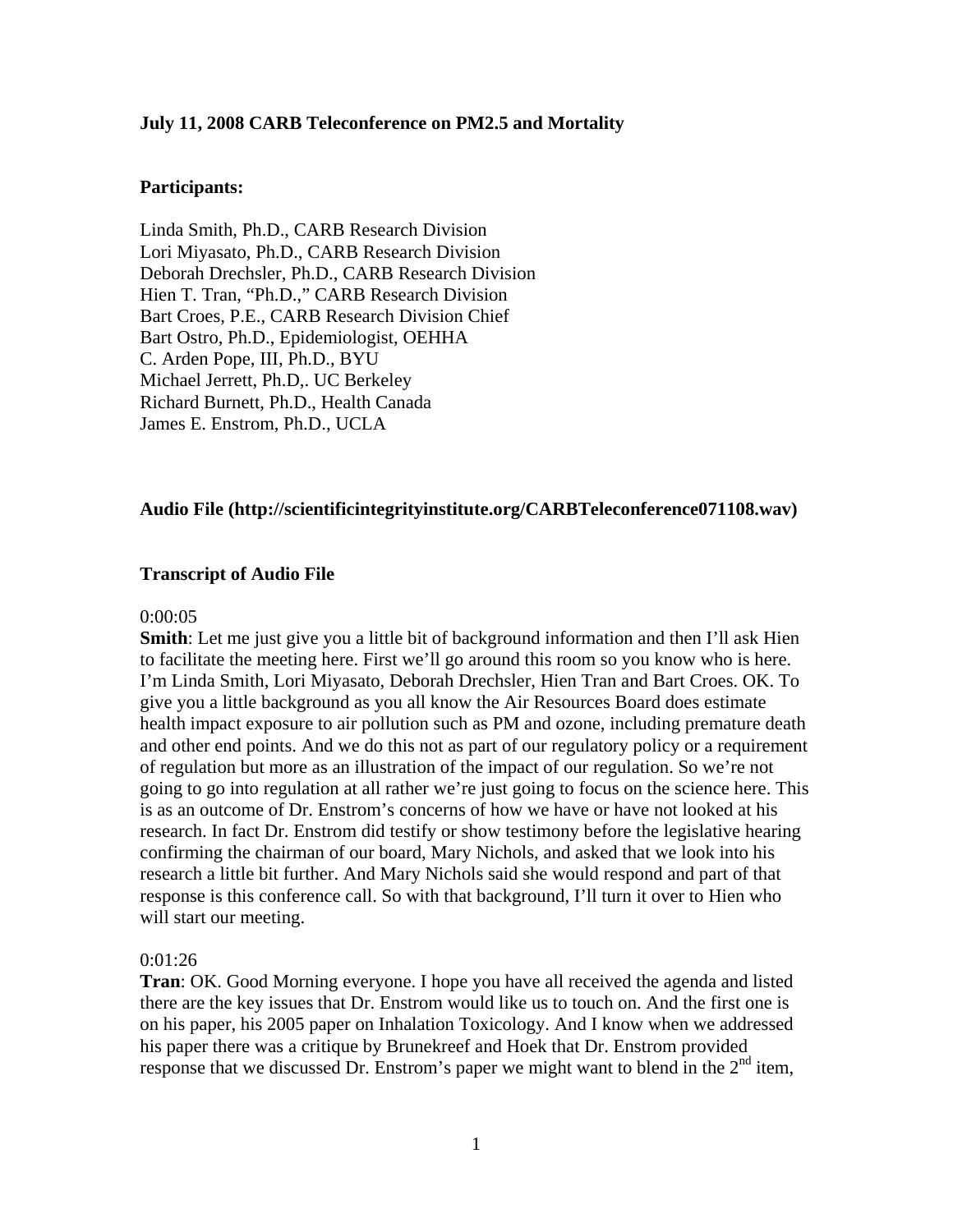### **July 11, 2008 CARB Teleconference on PM2.5 and Mortality**

### **Participants:**

Linda Smith, Ph.D., CARB Research Division Lori Miyasato, Ph.D., CARB Research Division Deborah Drechsler, Ph.D., CARB Research Division Hien T. Tran, "Ph.D.," CARB Research Division Bart Croes, P.E., CARB Research Division Chief Bart Ostro, Ph.D., Epidemiologist, OEHHA C. Arden Pope, III, Ph.D., BYU Michael Jerrett, Ph.D,. UC Berkeley Richard Burnett, Ph.D., Health Canada James E. Enstrom, Ph.D., UCLA

### **Audio File (http://scientificintegrityinstitute.org/CARBTeleconference071108.wav)**

### **Transcript of Audio File**

#### 0:00:05

**Smith**: Let me just give you a little bit of background information and then I'll ask Hien to facilitate the meeting here. First we'll go around this room so you know who is here. I'm Linda Smith, Lori Miyasato, Deborah Drechsler, Hien Tran and Bart Croes. OK. To give you a little background as you all know the Air Resources Board does estimate health impact exposure to air pollution such as PM and ozone, including premature death and other end points. And we do this not as part of our regulatory policy or a requirement of regulation but more as an illustration of the impact of our regulation. So we're not going to go into regulation at all rather we're just going to focus on the science here. This is as an outcome of Dr. Enstrom's concerns of how we have or have not looked at his research. In fact Dr. Enstrom did testify or show testimony before the legislative hearing confirming the chairman of our board, Mary Nichols, and asked that we look into his research a little bit further. And Mary Nichols said she would respond and part of that response is this conference call. So with that background, I'll turn it over to Hien who will start our meeting.

#### 0:01:26

**Tran**: OK. Good Morning everyone. I hope you have all received the agenda and listed there are the key issues that Dr. Enstrom would like us to touch on. And the first one is on his paper, his 2005 paper on Inhalation Toxicology. And I know when we addressed his paper there was a critique by Brunekreef and Hoek that Dr. Enstrom provided response that we discussed Dr. Enstrom's paper we might want to blend in the  $2<sup>nd</sup>$  item,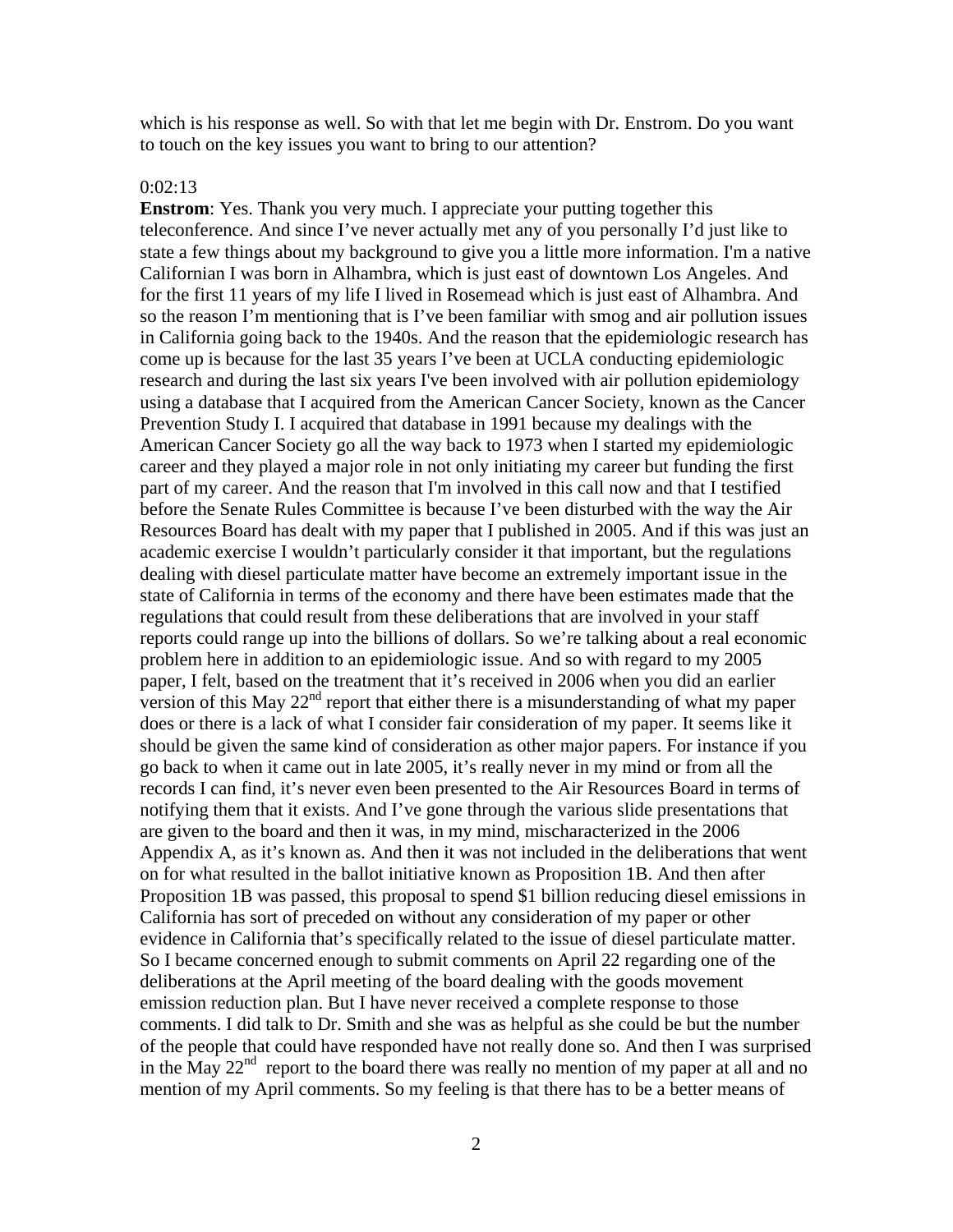which is his response as well. So with that let me begin with Dr. Enstrom. Do you want to touch on the key issues you want to bring to our attention?

#### 0:02:13

**Enstrom**: Yes. Thank you very much. I appreciate your putting together this teleconference. And since I've never actually met any of you personally I'd just like to state a few things about my background to give you a little more information. I'm a native Californian I was born in Alhambra, which is just east of downtown Los Angeles. And for the first 11 years of my life I lived in Rosemead which is just east of Alhambra. And so the reason I'm mentioning that is I've been familiar with smog and air pollution issues in California going back to the 1940s. And the reason that the epidemiologic research has come up is because for the last 35 years I've been at UCLA conducting epidemiologic research and during the last six years I've been involved with air pollution epidemiology using a database that I acquired from the American Cancer Society, known as the Cancer Prevention Study I. I acquired that database in 1991 because my dealings with the American Cancer Society go all the way back to 1973 when I started my epidemiologic career and they played a major role in not only initiating my career but funding the first part of my career. And the reason that I'm involved in this call now and that I testified before the Senate Rules Committee is because I've been disturbed with the way the Air Resources Board has dealt with my paper that I published in 2005. And if this was just an academic exercise I wouldn't particularly consider it that important, but the regulations dealing with diesel particulate matter have become an extremely important issue in the state of California in terms of the economy and there have been estimates made that the regulations that could result from these deliberations that are involved in your staff reports could range up into the billions of dollars. So we're talking about a real economic problem here in addition to an epidemiologic issue. And so with regard to my 2005 paper, I felt, based on the treatment that it's received in 2006 when you did an earlier version of this May  $22<sup>nd</sup>$  report that either there is a misunderstanding of what my paper does or there is a lack of what I consider fair consideration of my paper. It seems like it should be given the same kind of consideration as other major papers. For instance if you go back to when it came out in late 2005, it's really never in my mind or from all the records I can find, it's never even been presented to the Air Resources Board in terms of notifying them that it exists. And I've gone through the various slide presentations that are given to the board and then it was, in my mind, mischaracterized in the 2006 Appendix A, as it's known as. And then it was not included in the deliberations that went on for what resulted in the ballot initiative known as Proposition 1B. And then after Proposition 1B was passed, this proposal to spend \$1 billion reducing diesel emissions in California has sort of preceded on without any consideration of my paper or other evidence in California that's specifically related to the issue of diesel particulate matter. So I became concerned enough to submit comments on April 22 regarding one of the deliberations at the April meeting of the board dealing with the goods movement emission reduction plan. But I have never received a complete response to those comments. I did talk to Dr. Smith and she was as helpful as she could be but the number of the people that could have responded have not really done so. And then I was surprised in the May  $22<sup>nd</sup>$  report to the board there was really no mention of my paper at all and no mention of my April comments. So my feeling is that there has to be a better means of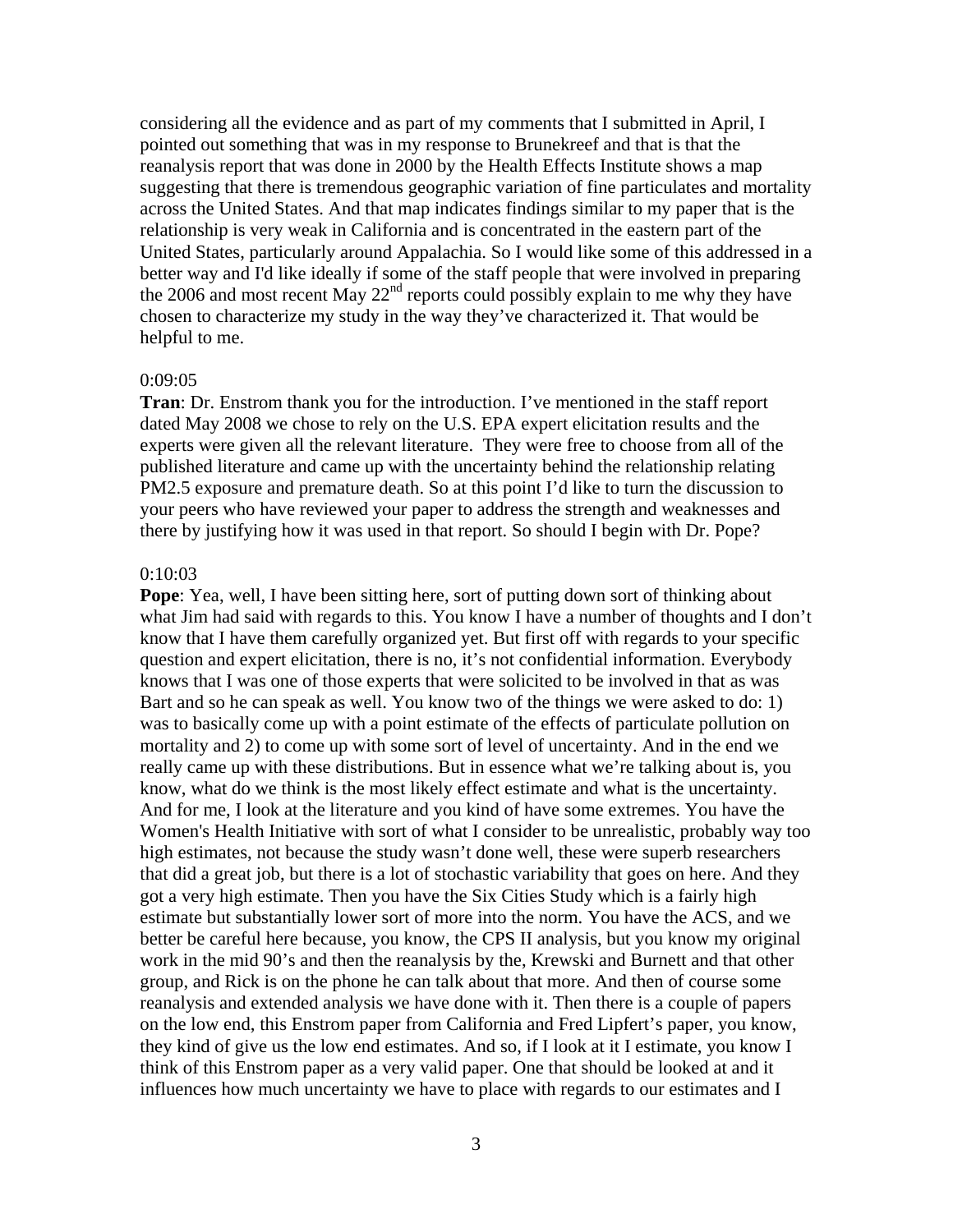considering all the evidence and as part of my comments that I submitted in April, I pointed out something that was in my response to Brunekreef and that is that the reanalysis report that was done in 2000 by the Health Effects Institute shows a map suggesting that there is tremendous geographic variation of fine particulates and mortality across the United States. And that map indicates findings similar to my paper that is the relationship is very weak in California and is concentrated in the eastern part of the United States, particularly around Appalachia. So I would like some of this addressed in a better way and I'd like ideally if some of the staff people that were involved in preparing the 2006 and most recent May 22<sup>nd</sup> reports could possibly explain to me why they have chosen to characterize my study in the way they've characterized it. That would be helpful to me.

### 0:09:05

**Tran**: Dr. Enstrom thank you for the introduction. I've mentioned in the staff report dated May 2008 we chose to rely on the U.S. EPA expert elicitation results and the experts were given all the relevant literature. They were free to choose from all of the published literature and came up with the uncertainty behind the relationship relating PM2.5 exposure and premature death. So at this point I'd like to turn the discussion to your peers who have reviewed your paper to address the strength and weaknesses and there by justifying how it was used in that report. So should I begin with Dr. Pope?

### 0:10:03

**Pope**: Yea, well, I have been sitting here, sort of putting down sort of thinking about what Jim had said with regards to this. You know I have a number of thoughts and I don't know that I have them carefully organized yet. But first off with regards to your specific question and expert elicitation, there is no, it's not confidential information. Everybody knows that I was one of those experts that were solicited to be involved in that as was Bart and so he can speak as well. You know two of the things we were asked to do: 1) was to basically come up with a point estimate of the effects of particulate pollution on mortality and 2) to come up with some sort of level of uncertainty. And in the end we really came up with these distributions. But in essence what we're talking about is, you know, what do we think is the most likely effect estimate and what is the uncertainty. And for me, I look at the literature and you kind of have some extremes. You have the Women's Health Initiative with sort of what I consider to be unrealistic, probably way too high estimates, not because the study wasn't done well, these were superb researchers that did a great job, but there is a lot of stochastic variability that goes on here. And they got a very high estimate. Then you have the Six Cities Study which is a fairly high estimate but substantially lower sort of more into the norm. You have the ACS, and we better be careful here because, you know, the CPS II analysis, but you know my original work in the mid 90's and then the reanalysis by the, Krewski and Burnett and that other group, and Rick is on the phone he can talk about that more. And then of course some reanalysis and extended analysis we have done with it. Then there is a couple of papers on the low end, this Enstrom paper from California and Fred Lipfert's paper, you know, they kind of give us the low end estimates. And so, if I look at it I estimate, you know I think of this Enstrom paper as a very valid paper. One that should be looked at and it influences how much uncertainty we have to place with regards to our estimates and I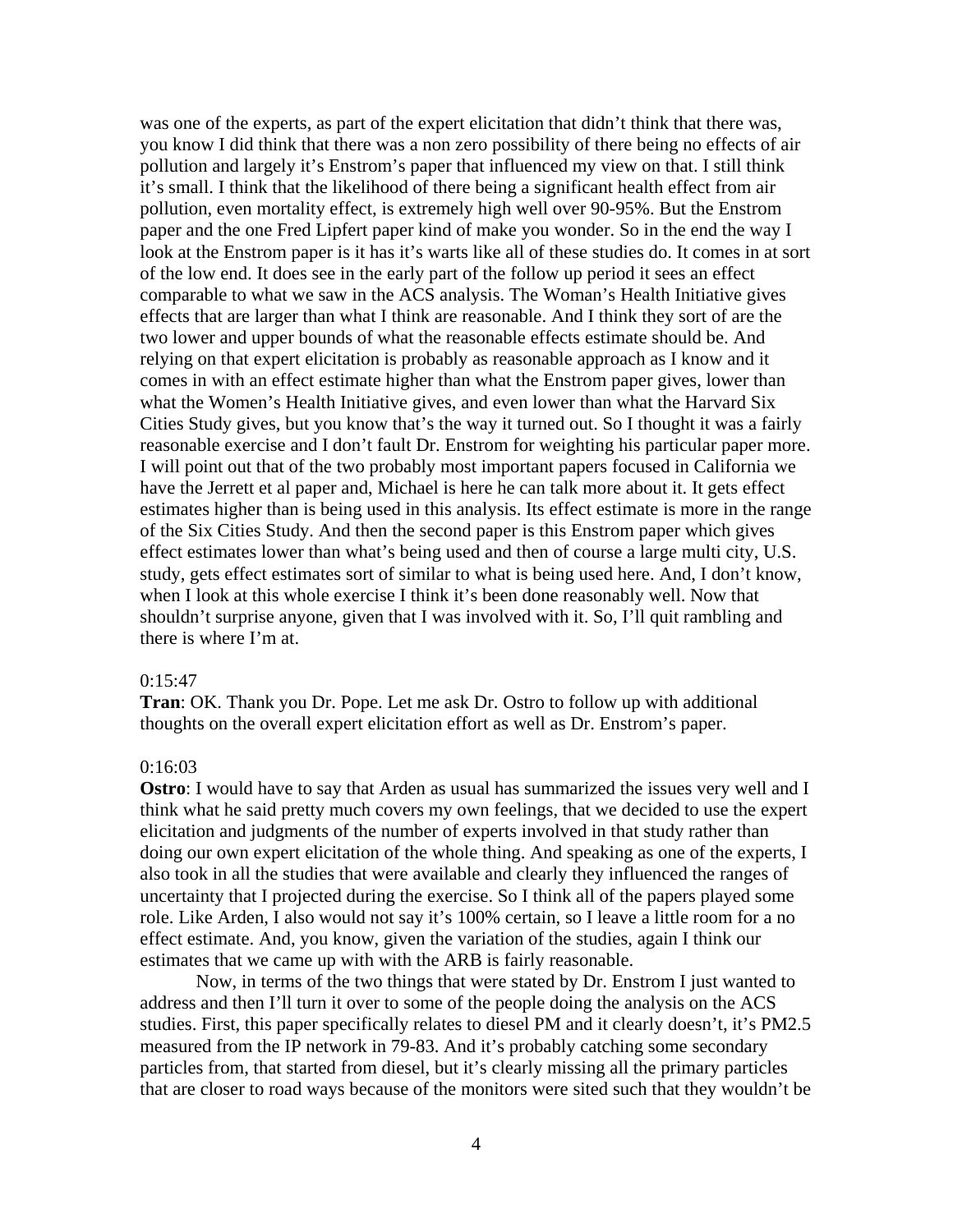was one of the experts, as part of the expert elicitation that didn't think that there was, you know I did think that there was a non zero possibility of there being no effects of air pollution and largely it's Enstrom's paper that influenced my view on that. I still think it's small. I think that the likelihood of there being a significant health effect from air pollution, even mortality effect, is extremely high well over 90-95%. But the Enstrom paper and the one Fred Lipfert paper kind of make you wonder. So in the end the way I look at the Enstrom paper is it has it's warts like all of these studies do. It comes in at sort of the low end. It does see in the early part of the follow up period it sees an effect comparable to what we saw in the ACS analysis. The Woman's Health Initiative gives effects that are larger than what I think are reasonable. And I think they sort of are the two lower and upper bounds of what the reasonable effects estimate should be. And relying on that expert elicitation is probably as reasonable approach as I know and it comes in with an effect estimate higher than what the Enstrom paper gives, lower than what the Women's Health Initiative gives, and even lower than what the Harvard Six Cities Study gives, but you know that's the way it turned out. So I thought it was a fairly reasonable exercise and I don't fault Dr. Enstrom for weighting his particular paper more. I will point out that of the two probably most important papers focused in California we have the Jerrett et al paper and, Michael is here he can talk more about it. It gets effect estimates higher than is being used in this analysis. Its effect estimate is more in the range of the Six Cities Study. And then the second paper is this Enstrom paper which gives effect estimates lower than what's being used and then of course a large multi city, U.S. study, gets effect estimates sort of similar to what is being used here. And, I don't know, when I look at this whole exercise I think it's been done reasonably well. Now that shouldn't surprise anyone, given that I was involved with it. So, I'll quit rambling and there is where I'm at.

#### $0:15:47$

**Tran**: OK. Thank you Dr. Pope. Let me ask Dr. Ostro to follow up with additional thoughts on the overall expert elicitation effort as well as Dr. Enstrom's paper.

### 0:16:03

**Ostro**: I would have to say that Arden as usual has summarized the issues very well and I think what he said pretty much covers my own feelings, that we decided to use the expert elicitation and judgments of the number of experts involved in that study rather than doing our own expert elicitation of the whole thing. And speaking as one of the experts, I also took in all the studies that were available and clearly they influenced the ranges of uncertainty that I projected during the exercise. So I think all of the papers played some role. Like Arden, I also would not say it's 100% certain, so I leave a little room for a no effect estimate. And, you know, given the variation of the studies, again I think our estimates that we came up with with the ARB is fairly reasonable.

Now, in terms of the two things that were stated by Dr. Enstrom I just wanted to address and then I'll turn it over to some of the people doing the analysis on the ACS studies. First, this paper specifically relates to diesel PM and it clearly doesn't, it's PM2.5 measured from the IP network in 79-83. And it's probably catching some secondary particles from, that started from diesel, but it's clearly missing all the primary particles that are closer to road ways because of the monitors were sited such that they wouldn't be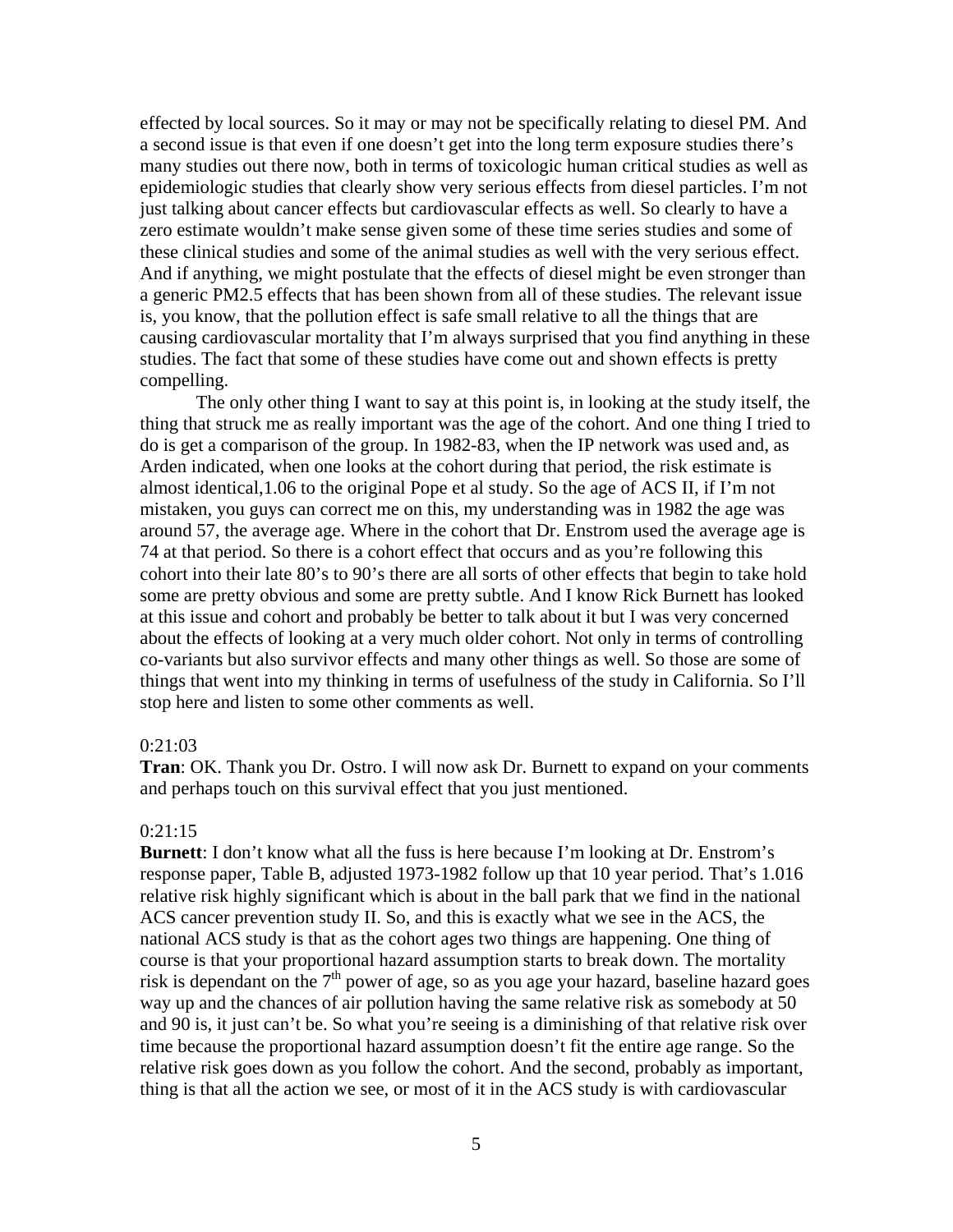effected by local sources. So it may or may not be specifically relating to diesel PM. And a second issue is that even if one doesn't get into the long term exposure studies there's many studies out there now, both in terms of toxicologic human critical studies as well as epidemiologic studies that clearly show very serious effects from diesel particles. I'm not just talking about cancer effects but cardiovascular effects as well. So clearly to have a zero estimate wouldn't make sense given some of these time series studies and some of these clinical studies and some of the animal studies as well with the very serious effect. And if anything, we might postulate that the effects of diesel might be even stronger than a generic PM2.5 effects that has been shown from all of these studies. The relevant issue is, you know, that the pollution effect is safe small relative to all the things that are causing cardiovascular mortality that I'm always surprised that you find anything in these studies. The fact that some of these studies have come out and shown effects is pretty compelling.

The only other thing I want to say at this point is, in looking at the study itself, the thing that struck me as really important was the age of the cohort. And one thing I tried to do is get a comparison of the group. In 1982-83, when the IP network was used and, as Arden indicated, when one looks at the cohort during that period, the risk estimate is almost identical,1.06 to the original Pope et al study. So the age of ACS II, if I'm not mistaken, you guys can correct me on this, my understanding was in 1982 the age was around 57, the average age. Where in the cohort that Dr. Enstrom used the average age is 74 at that period. So there is a cohort effect that occurs and as you're following this cohort into their late 80's to 90's there are all sorts of other effects that begin to take hold some are pretty obvious and some are pretty subtle. And I know Rick Burnett has looked at this issue and cohort and probably be better to talk about it but I was very concerned about the effects of looking at a very much older cohort. Not only in terms of controlling co-variants but also survivor effects and many other things as well. So those are some of things that went into my thinking in terms of usefulness of the study in California. So I'll stop here and listen to some other comments as well.

### 0:21:03

**Tran**: OK. Thank you Dr. Ostro. I will now ask Dr. Burnett to expand on your comments and perhaps touch on this survival effect that you just mentioned.

#### 0:21:15

**Burnett**: I don't know what all the fuss is here because I'm looking at Dr. Enstrom's response paper, Table B, adjusted 1973-1982 follow up that 10 year period. That's 1.016 relative risk highly significant which is about in the ball park that we find in the national ACS cancer prevention study II. So, and this is exactly what we see in the ACS, the national ACS study is that as the cohort ages two things are happening. One thing of course is that your proportional hazard assumption starts to break down. The mortality risk is dependant on the  $7<sup>th</sup>$  power of age, so as you age your hazard, baseline hazard goes way up and the chances of air pollution having the same relative risk as somebody at 50 and 90 is, it just can't be. So what you're seeing is a diminishing of that relative risk over time because the proportional hazard assumption doesn't fit the entire age range. So the relative risk goes down as you follow the cohort. And the second, probably as important, thing is that all the action we see, or most of it in the ACS study is with cardiovascular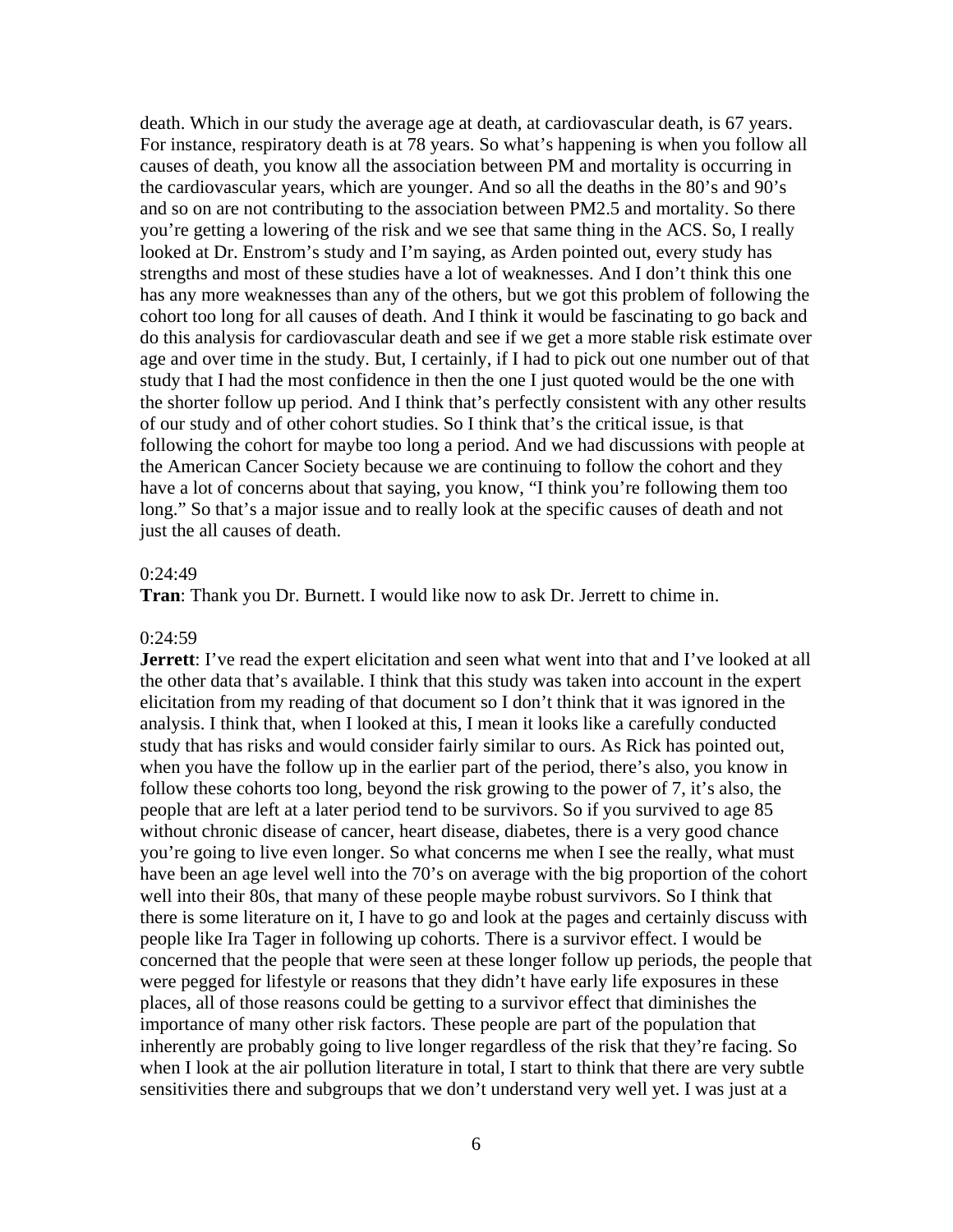death. Which in our study the average age at death, at cardiovascular death, is 67 years. For instance, respiratory death is at 78 years. So what's happening is when you follow all causes of death, you know all the association between PM and mortality is occurring in the cardiovascular years, which are younger. And so all the deaths in the 80's and 90's and so on are not contributing to the association between PM2.5 and mortality. So there you're getting a lowering of the risk and we see that same thing in the ACS. So, I really looked at Dr. Enstrom's study and I'm saying, as Arden pointed out, every study has strengths and most of these studies have a lot of weaknesses. And I don't think this one has any more weaknesses than any of the others, but we got this problem of following the cohort too long for all causes of death. And I think it would be fascinating to go back and do this analysis for cardiovascular death and see if we get a more stable risk estimate over age and over time in the study. But, I certainly, if I had to pick out one number out of that study that I had the most confidence in then the one I just quoted would be the one with the shorter follow up period. And I think that's perfectly consistent with any other results of our study and of other cohort studies. So I think that's the critical issue, is that following the cohort for maybe too long a period. And we had discussions with people at the American Cancer Society because we are continuing to follow the cohort and they have a lot of concerns about that saying, you know, "I think you're following them too long." So that's a major issue and to really look at the specific causes of death and not just the all causes of death.

### 0:24:49

**Tran**: Thank you Dr. Burnett. I would like now to ask Dr. Jerrett to chime in.

#### $0:24:59$

**Jerrett**: I've read the expert elicitation and seen what went into that and I've looked at all the other data that's available. I think that this study was taken into account in the expert elicitation from my reading of that document so I don't think that it was ignored in the analysis. I think that, when I looked at this, I mean it looks like a carefully conducted study that has risks and would consider fairly similar to ours. As Rick has pointed out, when you have the follow up in the earlier part of the period, there's also, you know in follow these cohorts too long, beyond the risk growing to the power of 7, it's also, the people that are left at a later period tend to be survivors. So if you survived to age 85 without chronic disease of cancer, heart disease, diabetes, there is a very good chance you're going to live even longer. So what concerns me when I see the really, what must have been an age level well into the 70's on average with the big proportion of the cohort well into their 80s, that many of these people maybe robust survivors. So I think that there is some literature on it, I have to go and look at the pages and certainly discuss with people like Ira Tager in following up cohorts. There is a survivor effect. I would be concerned that the people that were seen at these longer follow up periods, the people that were pegged for lifestyle or reasons that they didn't have early life exposures in these places, all of those reasons could be getting to a survivor effect that diminishes the importance of many other risk factors. These people are part of the population that inherently are probably going to live longer regardless of the risk that they're facing. So when I look at the air pollution literature in total, I start to think that there are very subtle sensitivities there and subgroups that we don't understand very well yet. I was just at a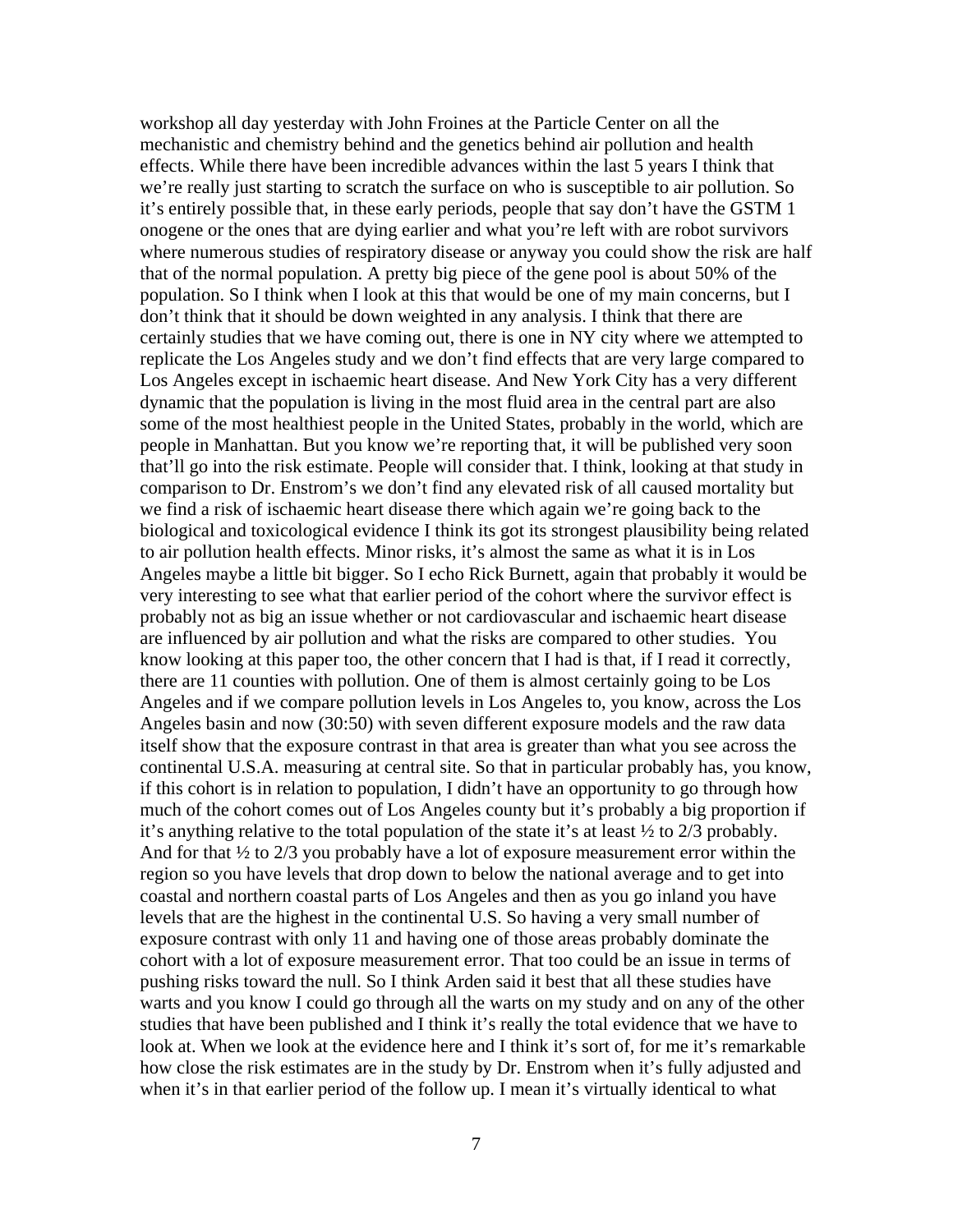workshop all day yesterday with John Froines at the Particle Center on all the mechanistic and chemistry behind and the genetics behind air pollution and health effects. While there have been incredible advances within the last 5 years I think that we're really just starting to scratch the surface on who is susceptible to air pollution. So it's entirely possible that, in these early periods, people that say don't have the GSTM 1 onogene or the ones that are dying earlier and what you're left with are robot survivors where numerous studies of respiratory disease or anyway you could show the risk are half that of the normal population. A pretty big piece of the gene pool is about 50% of the population. So I think when I look at this that would be one of my main concerns, but I don't think that it should be down weighted in any analysis. I think that there are certainly studies that we have coming out, there is one in NY city where we attempted to replicate the Los Angeles study and we don't find effects that are very large compared to Los Angeles except in ischaemic heart disease. And New York City has a very different dynamic that the population is living in the most fluid area in the central part are also some of the most healthiest people in the United States, probably in the world, which are people in Manhattan. But you know we're reporting that, it will be published very soon that'll go into the risk estimate. People will consider that. I think, looking at that study in comparison to Dr. Enstrom's we don't find any elevated risk of all caused mortality but we find a risk of ischaemic heart disease there which again we're going back to the biological and toxicological evidence I think its got its strongest plausibility being related to air pollution health effects. Minor risks, it's almost the same as what it is in Los Angeles maybe a little bit bigger. So I echo Rick Burnett, again that probably it would be very interesting to see what that earlier period of the cohort where the survivor effect is probably not as big an issue whether or not cardiovascular and ischaemic heart disease are influenced by air pollution and what the risks are compared to other studies. You know looking at this paper too, the other concern that I had is that, if I read it correctly, there are 11 counties with pollution. One of them is almost certainly going to be Los Angeles and if we compare pollution levels in Los Angeles to, you know, across the Los Angeles basin and now (30:50) with seven different exposure models and the raw data itself show that the exposure contrast in that area is greater than what you see across the continental U.S.A. measuring at central site. So that in particular probably has, you know, if this cohort is in relation to population, I didn't have an opportunity to go through how much of the cohort comes out of Los Angeles county but it's probably a big proportion if it's anything relative to the total population of the state it's at least ½ to 2/3 probably. And for that  $\frac{1}{2}$  to 2/3 you probably have a lot of exposure measurement error within the region so you have levels that drop down to below the national average and to get into coastal and northern coastal parts of Los Angeles and then as you go inland you have levels that are the highest in the continental U.S. So having a very small number of exposure contrast with only 11 and having one of those areas probably dominate the cohort with a lot of exposure measurement error. That too could be an issue in terms of pushing risks toward the null. So I think Arden said it best that all these studies have warts and you know I could go through all the warts on my study and on any of the other studies that have been published and I think it's really the total evidence that we have to look at. When we look at the evidence here and I think it's sort of, for me it's remarkable how close the risk estimates are in the study by Dr. Enstrom when it's fully adjusted and when it's in that earlier period of the follow up. I mean it's virtually identical to what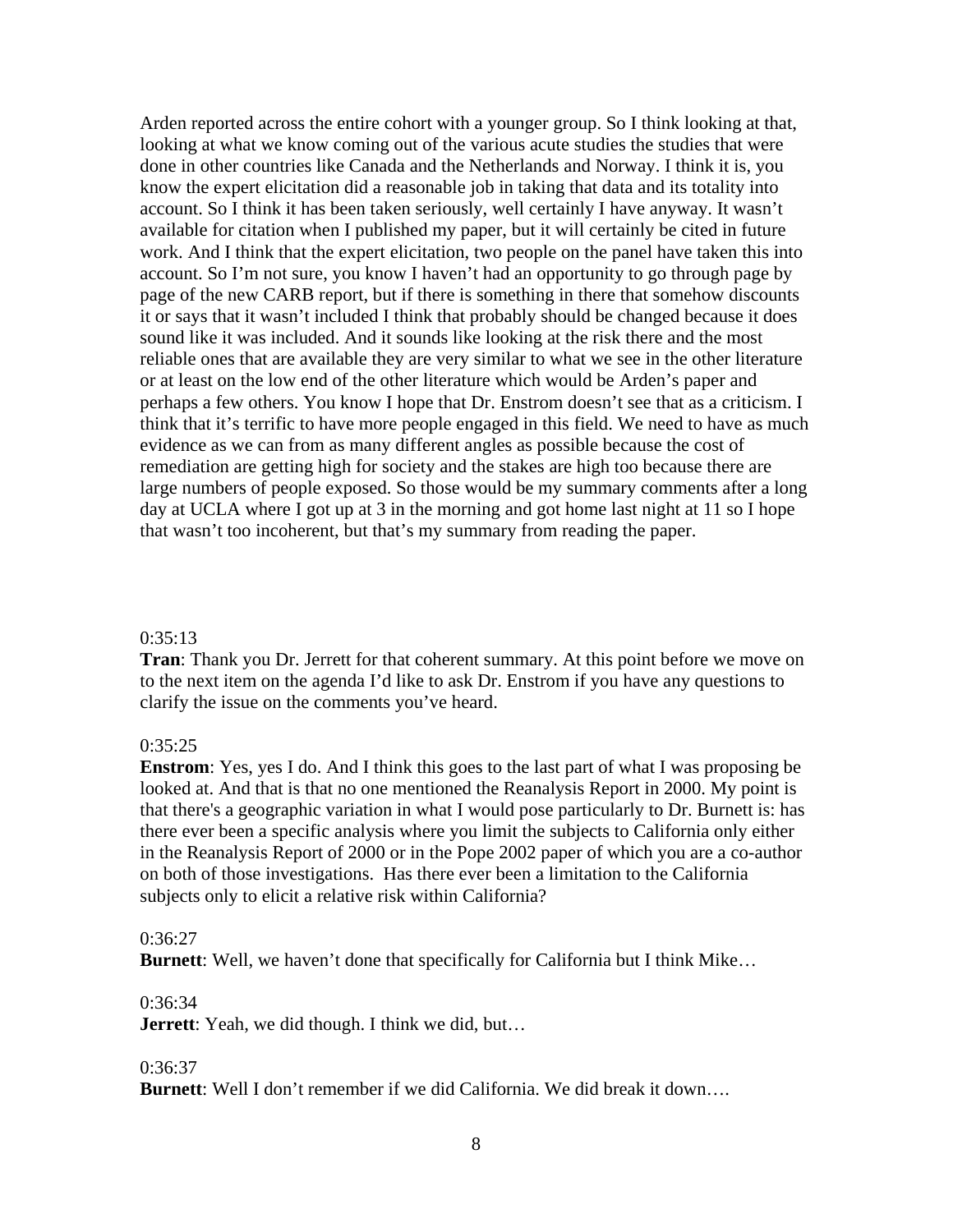Arden reported across the entire cohort with a younger group. So I think looking at that, looking at what we know coming out of the various acute studies the studies that were done in other countries like Canada and the Netherlands and Norway. I think it is, you know the expert elicitation did a reasonable job in taking that data and its totality into account. So I think it has been taken seriously, well certainly I have anyway. It wasn't available for citation when I published my paper, but it will certainly be cited in future work. And I think that the expert elicitation, two people on the panel have taken this into account. So I'm not sure, you know I haven't had an opportunity to go through page by page of the new CARB report, but if there is something in there that somehow discounts it or says that it wasn't included I think that probably should be changed because it does sound like it was included. And it sounds like looking at the risk there and the most reliable ones that are available they are very similar to what we see in the other literature or at least on the low end of the other literature which would be Arden's paper and perhaps a few others. You know I hope that Dr. Enstrom doesn't see that as a criticism. I think that it's terrific to have more people engaged in this field. We need to have as much evidence as we can from as many different angles as possible because the cost of remediation are getting high for society and the stakes are high too because there are large numbers of people exposed. So those would be my summary comments after a long day at UCLA where I got up at 3 in the morning and got home last night at 11 so I hope that wasn't too incoherent, but that's my summary from reading the paper.

### $0:35:13$

**Tran**: Thank you Dr. Jerrett for that coherent summary. At this point before we move on to the next item on the agenda I'd like to ask Dr. Enstrom if you have any questions to clarify the issue on the comments you've heard.

### 0:35:25

**Enstrom**: Yes, yes I do. And I think this goes to the last part of what I was proposing be looked at. And that is that no one mentioned the Reanalysis Report in 2000. My point is that there's a geographic variation in what I would pose particularly to Dr. Burnett is: has there ever been a specific analysis where you limit the subjects to California only either in the Reanalysis Report of 2000 or in the Pope 2002 paper of which you are a co-author on both of those investigations. Has there ever been a limitation to the California subjects only to elicit a relative risk within California?

### 0:36:27

**Burnett**: Well, we haven't done that specifically for California but I think Mike…

# 0:36:34

**Jerrett**: Yeah, we did though. I think we did, but...

### 0:36:37

**Burnett**: Well I don't remember if we did California. We did break it down….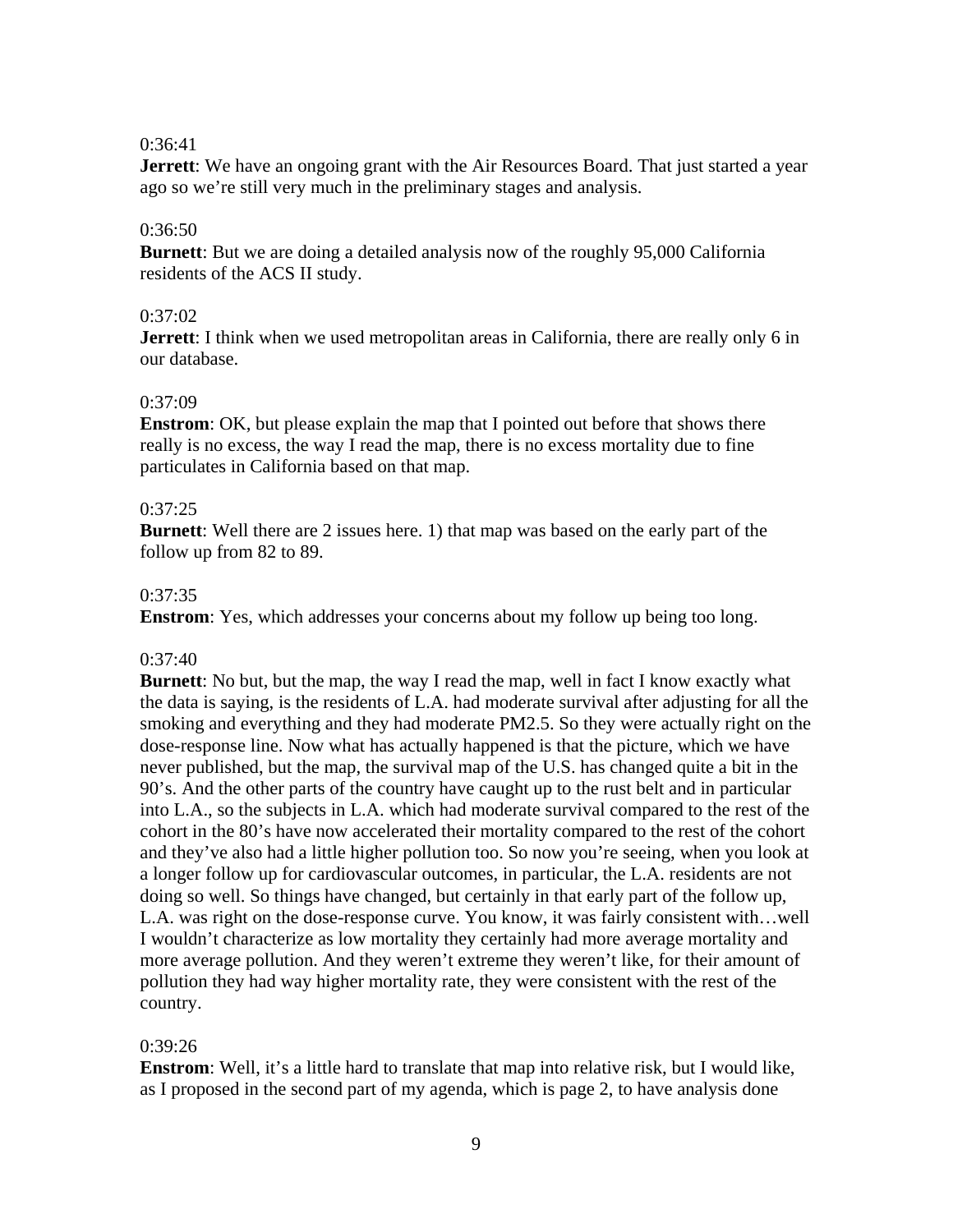## 0:36:41

**Jerrett**: We have an ongoing grant with the Air Resources Board. That just started a year ago so we're still very much in the preliminary stages and analysis.

# 0:36:50

**Burnett**: But we are doing a detailed analysis now of the roughly 95,000 California residents of the ACS II study.

## $0:37:02$

**Jerrett**: I think when we used metropolitan areas in California, there are really only 6 in our database.

## 0:37:09

**Enstrom**: OK, but please explain the map that I pointed out before that shows there really is no excess, the way I read the map, there is no excess mortality due to fine particulates in California based on that map.

# 0:37:25

**Burnett**: Well there are 2 issues here. 1) that map was based on the early part of the follow up from 82 to 89.

## 0:37:35

**Enstrom**: Yes, which addresses your concerns about my follow up being too long.

# 0:37:40

**Burnett**: No but, but the map, the way I read the map, well in fact I know exactly what the data is saying, is the residents of L.A. had moderate survival after adjusting for all the smoking and everything and they had moderate PM2.5. So they were actually right on the dose-response line. Now what has actually happened is that the picture, which we have never published, but the map, the survival map of the U.S. has changed quite a bit in the 90's. And the other parts of the country have caught up to the rust belt and in particular into L.A., so the subjects in L.A. which had moderate survival compared to the rest of the cohort in the 80's have now accelerated their mortality compared to the rest of the cohort and they've also had a little higher pollution too. So now you're seeing, when you look at a longer follow up for cardiovascular outcomes, in particular, the L.A. residents are not doing so well. So things have changed, but certainly in that early part of the follow up, L.A. was right on the dose-response curve. You know, it was fairly consistent with…well I wouldn't characterize as low mortality they certainly had more average mortality and more average pollution. And they weren't extreme they weren't like, for their amount of pollution they had way higher mortality rate, they were consistent with the rest of the country.

### 0:39:26

**Enstrom**: Well, it's a little hard to translate that map into relative risk, but I would like, as I proposed in the second part of my agenda, which is page 2, to have analysis done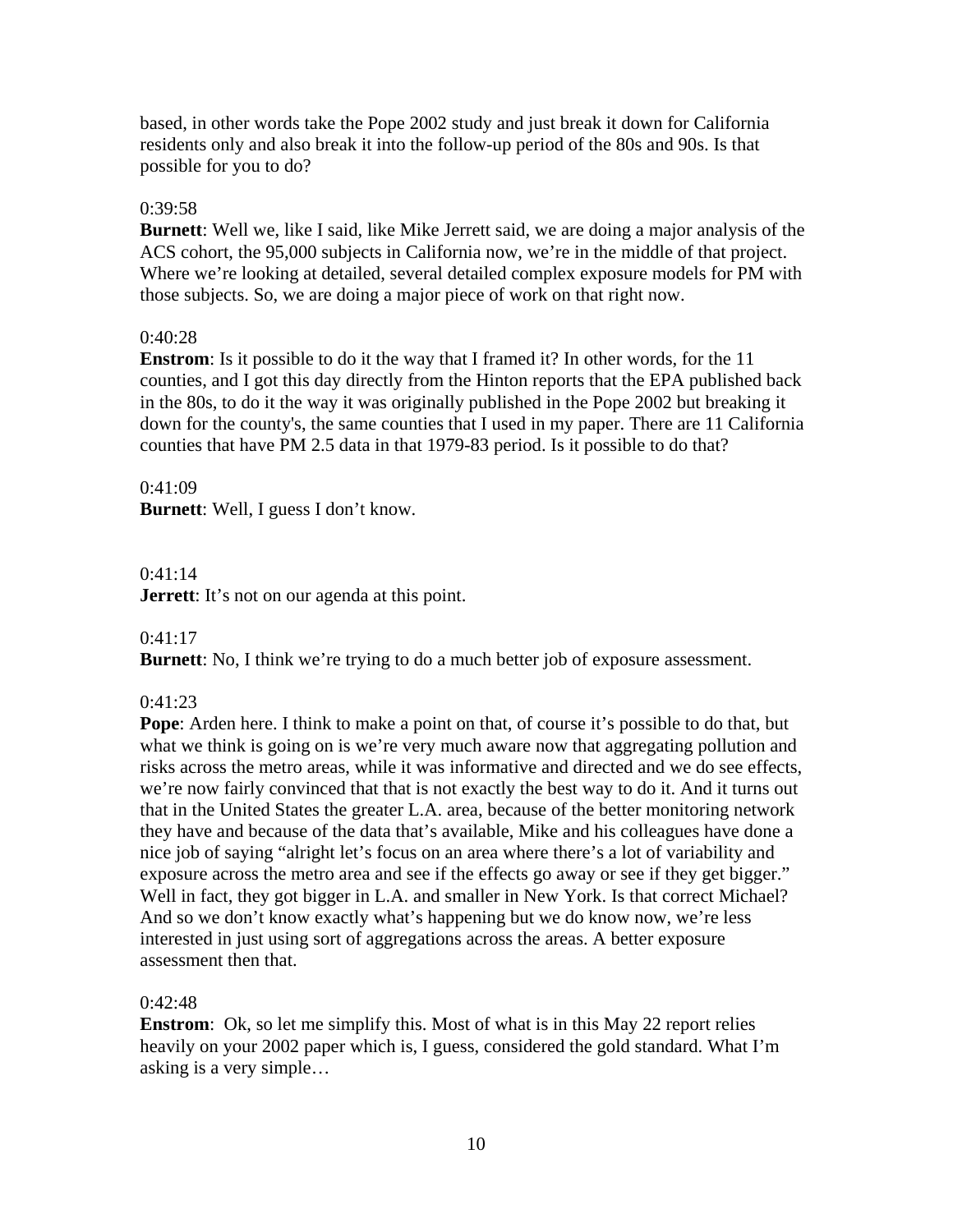based, in other words take the Pope 2002 study and just break it down for California residents only and also break it into the follow-up period of the 80s and 90s. Is that possible for you to do?

## $0:39:58$

**Burnett**: Well we, like I said, like Mike Jerrett said, we are doing a major analysis of the ACS cohort, the 95,000 subjects in California now, we're in the middle of that project. Where we're looking at detailed, several detailed complex exposure models for PM with those subjects. So, we are doing a major piece of work on that right now.

## 0:40:28

**Enstrom**: Is it possible to do it the way that I framed it? In other words, for the 11 counties, and I got this day directly from the Hinton reports that the EPA published back in the 80s, to do it the way it was originally published in the Pope 2002 but breaking it down for the county's, the same counties that I used in my paper. There are 11 California counties that have PM 2.5 data in that 1979-83 period. Is it possible to do that?

## 0:41:09

**Burnett**: Well, I guess I don't know.

# 0:41:14

**Jerrett**: It's not on our agenda at this point.

# $0:41:17$

**Burnett**: No, I think we're trying to do a much better job of exposure assessment.

# 0:41:23

**Pope**: Arden here. I think to make a point on that, of course it's possible to do that, but what we think is going on is we're very much aware now that aggregating pollution and risks across the metro areas, while it was informative and directed and we do see effects, we're now fairly convinced that that is not exactly the best way to do it. And it turns out that in the United States the greater L.A. area, because of the better monitoring network they have and because of the data that's available, Mike and his colleagues have done a nice job of saying "alright let's focus on an area where there's a lot of variability and exposure across the metro area and see if the effects go away or see if they get bigger." Well in fact, they got bigger in L.A. and smaller in New York. Is that correct Michael? And so we don't know exactly what's happening but we do know now, we're less interested in just using sort of aggregations across the areas. A better exposure assessment then that.

# 0:42:48

**Enstrom**: Ok, so let me simplify this. Most of what is in this May 22 report relies heavily on your 2002 paper which is, I guess, considered the gold standard. What I'm asking is a very simple…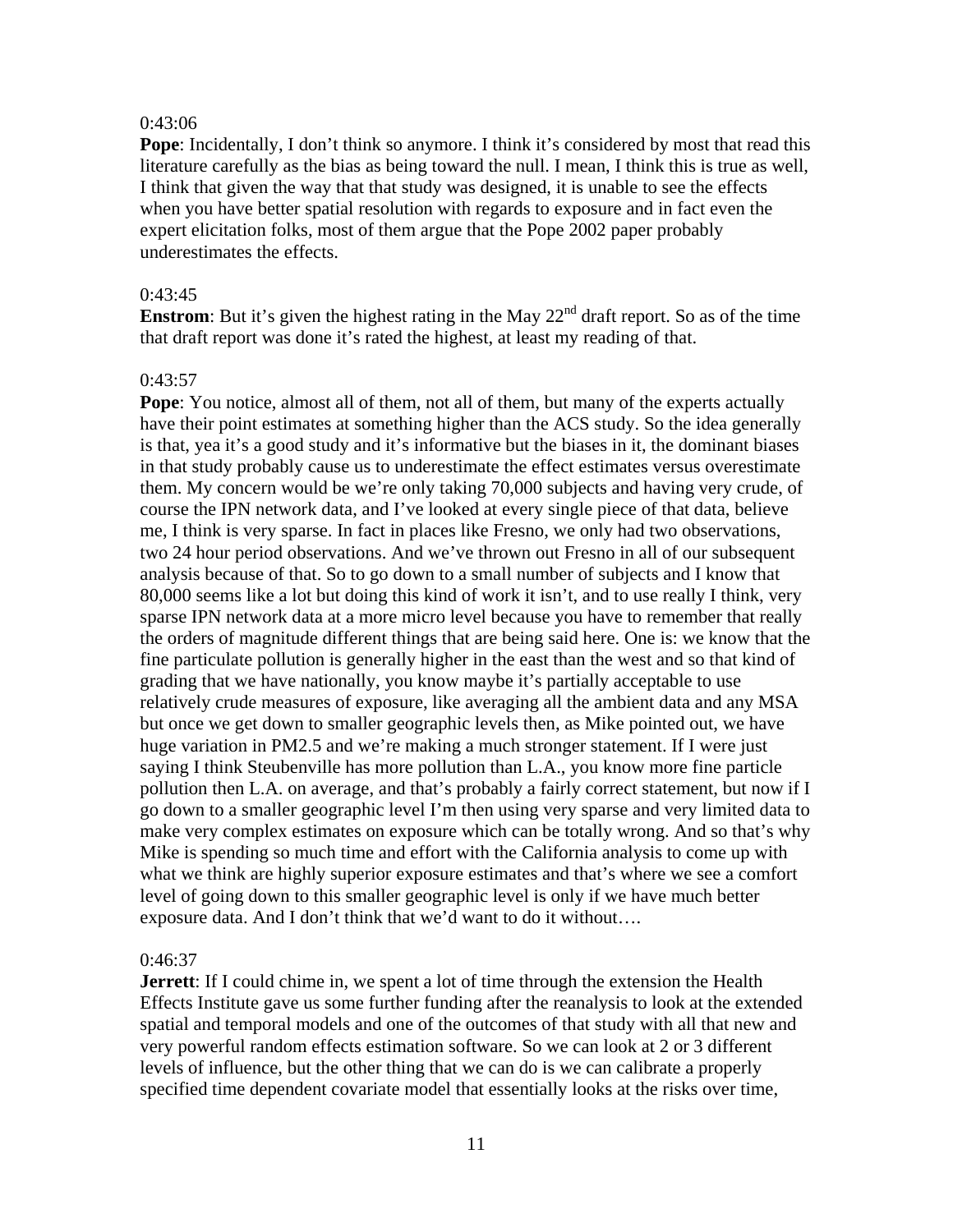### 0:43:06

**Pope**: Incidentally, I don't think so anymore. I think it's considered by most that read this literature carefully as the bias as being toward the null. I mean, I think this is true as well, I think that given the way that that study was designed, it is unable to see the effects when you have better spatial resolution with regards to exposure and in fact even the expert elicitation folks, most of them argue that the Pope 2002 paper probably underestimates the effects.

#### 0:43:45

**Enstrom**: But it's given the highest rating in the May  $22<sup>nd</sup>$  draft report. So as of the time that draft report was done it's rated the highest, at least my reading of that.

### 0:43:57

**Pope**: You notice, almost all of them, not all of them, but many of the experts actually have their point estimates at something higher than the ACS study. So the idea generally is that, yea it's a good study and it's informative but the biases in it, the dominant biases in that study probably cause us to underestimate the effect estimates versus overestimate them. My concern would be we're only taking 70,000 subjects and having very crude, of course the IPN network data, and I've looked at every single piece of that data, believe me, I think is very sparse. In fact in places like Fresno, we only had two observations, two 24 hour period observations. And we've thrown out Fresno in all of our subsequent analysis because of that. So to go down to a small number of subjects and I know that 80,000 seems like a lot but doing this kind of work it isn't, and to use really I think, very sparse IPN network data at a more micro level because you have to remember that really the orders of magnitude different things that are being said here. One is: we know that the fine particulate pollution is generally higher in the east than the west and so that kind of grading that we have nationally, you know maybe it's partially acceptable to use relatively crude measures of exposure, like averaging all the ambient data and any MSA but once we get down to smaller geographic levels then, as Mike pointed out, we have huge variation in PM2.5 and we're making a much stronger statement. If I were just saying I think Steubenville has more pollution than L.A., you know more fine particle pollution then L.A. on average, and that's probably a fairly correct statement, but now if I go down to a smaller geographic level I'm then using very sparse and very limited data to make very complex estimates on exposure which can be totally wrong. And so that's why Mike is spending so much time and effort with the California analysis to come up with what we think are highly superior exposure estimates and that's where we see a comfort level of going down to this smaller geographic level is only if we have much better exposure data. And I don't think that we'd want to do it without….

### 0:46:37

**Jerrett**: If I could chime in, we spent a lot of time through the extension the Health Effects Institute gave us some further funding after the reanalysis to look at the extended spatial and temporal models and one of the outcomes of that study with all that new and very powerful random effects estimation software. So we can look at 2 or 3 different levels of influence, but the other thing that we can do is we can calibrate a properly specified time dependent covariate model that essentially looks at the risks over time,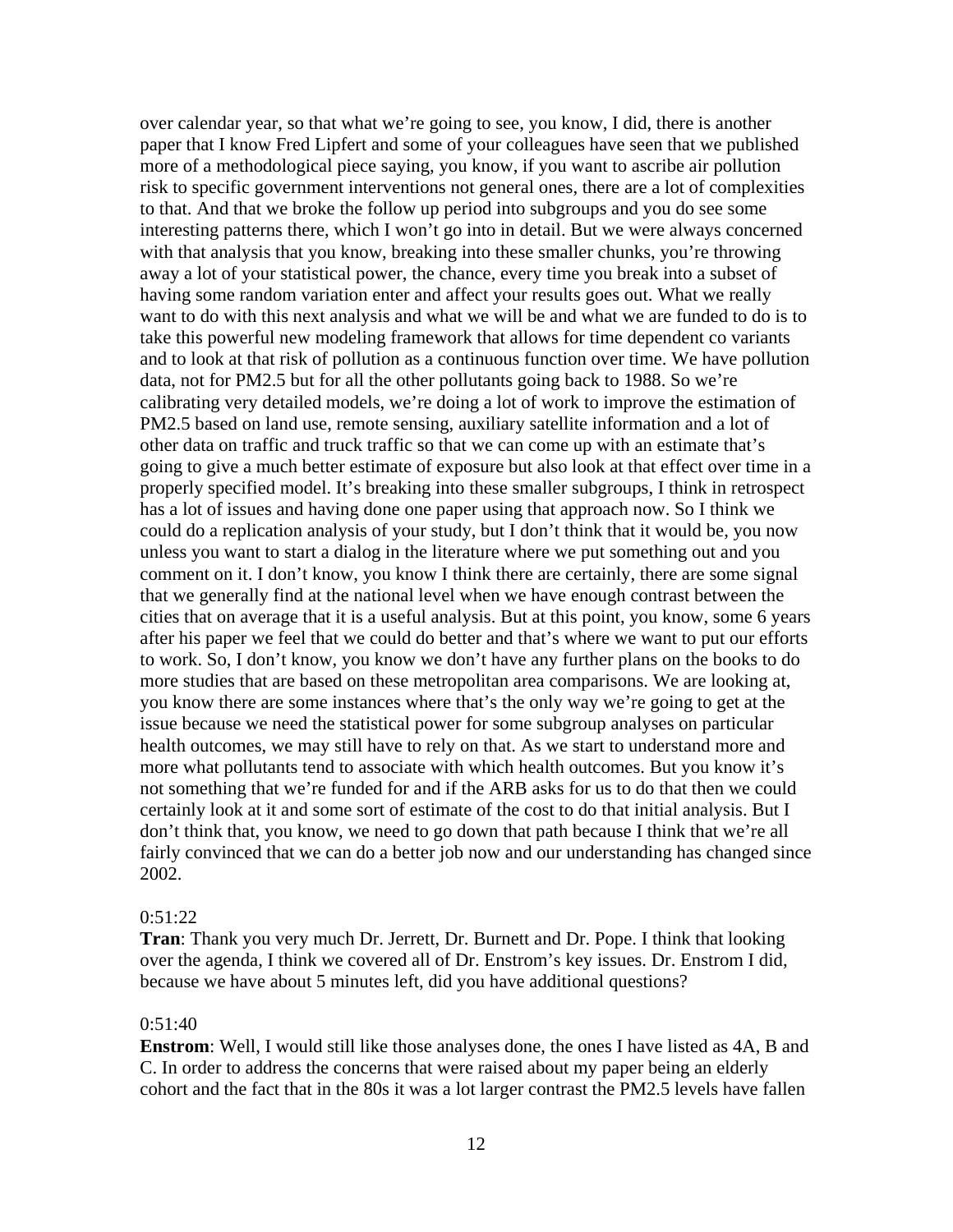over calendar year, so that what we're going to see, you know, I did, there is another paper that I know Fred Lipfert and some of your colleagues have seen that we published more of a methodological piece saying, you know, if you want to ascribe air pollution risk to specific government interventions not general ones, there are a lot of complexities to that. And that we broke the follow up period into subgroups and you do see some interesting patterns there, which I won't go into in detail. But we were always concerned with that analysis that you know, breaking into these smaller chunks, you're throwing away a lot of your statistical power, the chance, every time you break into a subset of having some random variation enter and affect your results goes out. What we really want to do with this next analysis and what we will be and what we are funded to do is to take this powerful new modeling framework that allows for time dependent co variants and to look at that risk of pollution as a continuous function over time. We have pollution data, not for PM2.5 but for all the other pollutants going back to 1988. So we're calibrating very detailed models, we're doing a lot of work to improve the estimation of PM2.5 based on land use, remote sensing, auxiliary satellite information and a lot of other data on traffic and truck traffic so that we can come up with an estimate that's going to give a much better estimate of exposure but also look at that effect over time in a properly specified model. It's breaking into these smaller subgroups, I think in retrospect has a lot of issues and having done one paper using that approach now. So I think we could do a replication analysis of your study, but I don't think that it would be, you now unless you want to start a dialog in the literature where we put something out and you comment on it. I don't know, you know I think there are certainly, there are some signal that we generally find at the national level when we have enough contrast between the cities that on average that it is a useful analysis. But at this point, you know, some 6 years after his paper we feel that we could do better and that's where we want to put our efforts to work. So, I don't know, you know we don't have any further plans on the books to do more studies that are based on these metropolitan area comparisons. We are looking at, you know there are some instances where that's the only way we're going to get at the issue because we need the statistical power for some subgroup analyses on particular health outcomes, we may still have to rely on that. As we start to understand more and more what pollutants tend to associate with which health outcomes. But you know it's not something that we're funded for and if the ARB asks for us to do that then we could certainly look at it and some sort of estimate of the cost to do that initial analysis. But I don't think that, you know, we need to go down that path because I think that we're all fairly convinced that we can do a better job now and our understanding has changed since 2002.

### 0:51:22

**Tran**: Thank you very much Dr. Jerrett, Dr. Burnett and Dr. Pope. I think that looking over the agenda, I think we covered all of Dr. Enstrom's key issues. Dr. Enstrom I did, because we have about 5 minutes left, did you have additional questions?

#### 0:51:40

**Enstrom**: Well, I would still like those analyses done, the ones I have listed as 4A, B and C. In order to address the concerns that were raised about my paper being an elderly cohort and the fact that in the 80s it was a lot larger contrast the PM2.5 levels have fallen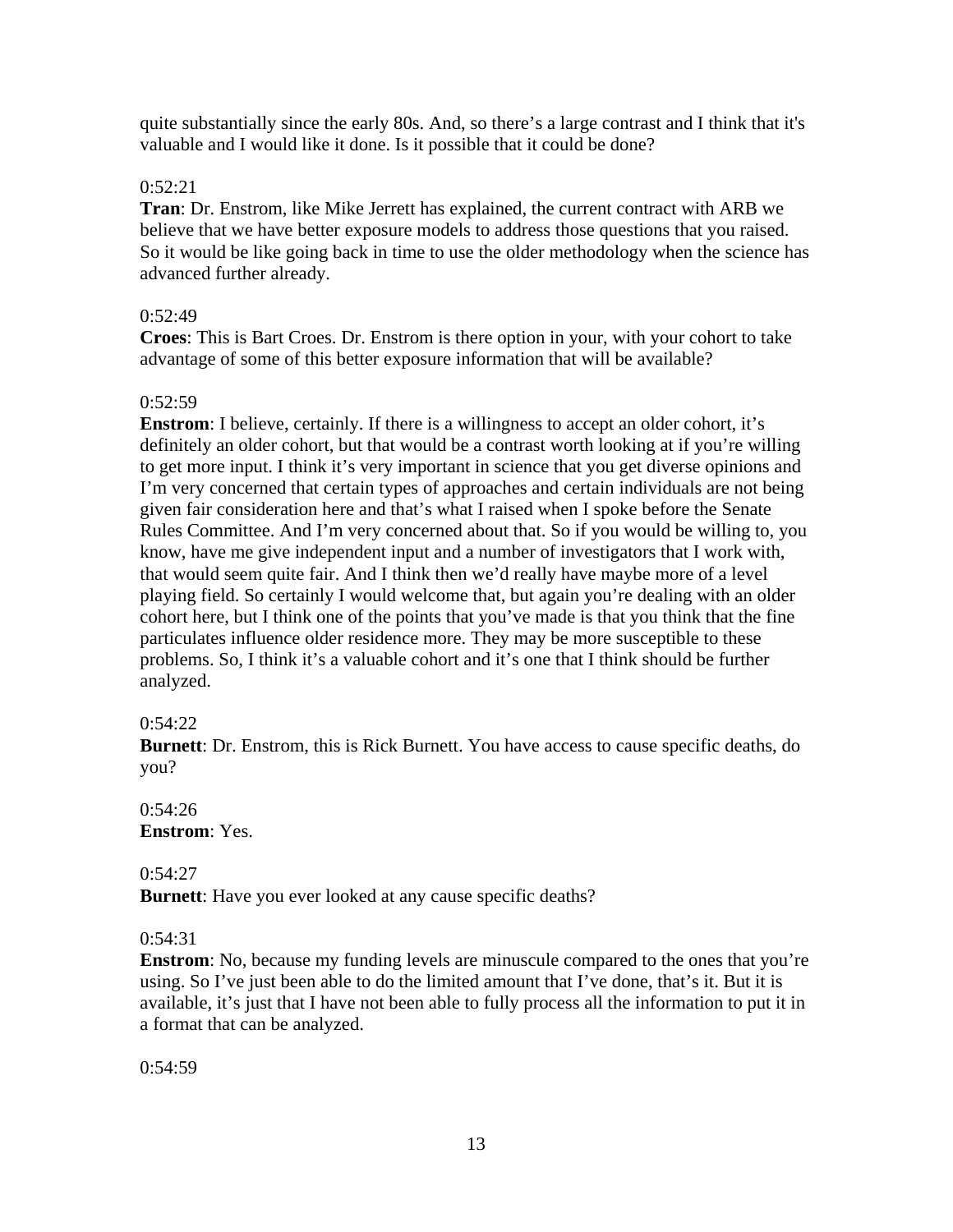quite substantially since the early 80s. And, so there's a large contrast and I think that it's valuable and I would like it done. Is it possible that it could be done?

# 0:52:21

**Tran**: Dr. Enstrom, like Mike Jerrett has explained, the current contract with ARB we believe that we have better exposure models to address those questions that you raised. So it would be like going back in time to use the older methodology when the science has advanced further already.

# $0:52:49$

**Croes**: This is Bart Croes. Dr. Enstrom is there option in your, with your cohort to take advantage of some of this better exposure information that will be available?

## 0:52:59

**Enstrom**: I believe, certainly. If there is a willingness to accept an older cohort, it's definitely an older cohort, but that would be a contrast worth looking at if you're willing to get more input. I think it's very important in science that you get diverse opinions and I'm very concerned that certain types of approaches and certain individuals are not being given fair consideration here and that's what I raised when I spoke before the Senate Rules Committee. And I'm very concerned about that. So if you would be willing to, you know, have me give independent input and a number of investigators that I work with, that would seem quite fair. And I think then we'd really have maybe more of a level playing field. So certainly I would welcome that, but again you're dealing with an older cohort here, but I think one of the points that you've made is that you think that the fine particulates influence older residence more. They may be more susceptible to these problems. So, I think it's a valuable cohort and it's one that I think should be further analyzed.

# $0:54:22$

**Burnett**: Dr. Enstrom, this is Rick Burnett. You have access to cause specific deaths, do you?

## $0:54:26$ **Enstrom**: Yes.

0:54:27

**Burnett**: Have you ever looked at any cause specific deaths?

# 0:54:31

**Enstrom**: No, because my funding levels are minuscule compared to the ones that you're using. So I've just been able to do the limited amount that I've done, that's it. But it is available, it's just that I have not been able to fully process all the information to put it in a format that can be analyzed.

 $0:54:59$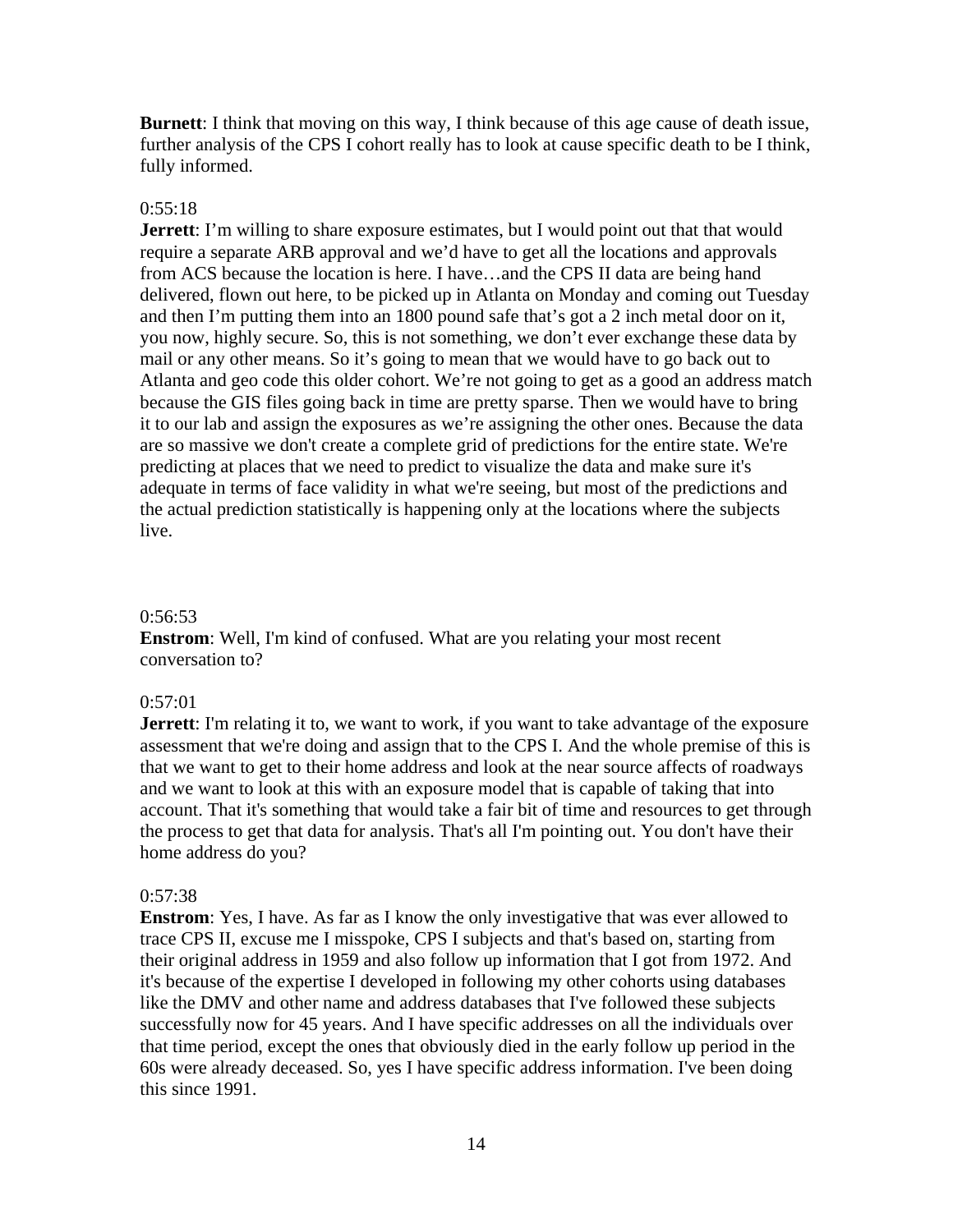**Burnett**: I think that moving on this way, I think because of this age cause of death issue, further analysis of the CPS I cohort really has to look at cause specific death to be I think, fully informed.

### $0:55:18$

**Jerrett**: I'm willing to share exposure estimates, but I would point out that that would require a separate ARB approval and we'd have to get all the locations and approvals from ACS because the location is here. I have…and the CPS II data are being hand delivered, flown out here, to be picked up in Atlanta on Monday and coming out Tuesday and then I'm putting them into an 1800 pound safe that's got a 2 inch metal door on it, you now, highly secure. So, this is not something, we don't ever exchange these data by mail or any other means. So it's going to mean that we would have to go back out to Atlanta and geo code this older cohort. We're not going to get as a good an address match because the GIS files going back in time are pretty sparse. Then we would have to bring it to our lab and assign the exposures as we're assigning the other ones. Because the data are so massive we don't create a complete grid of predictions for the entire state. We're predicting at places that we need to predict to visualize the data and make sure it's adequate in terms of face validity in what we're seeing, but most of the predictions and the actual prediction statistically is happening only at the locations where the subjects live.

### 0:56:53

**Enstrom**: Well, I'm kind of confused. What are you relating your most recent conversation to?

#### 0:57:01

**Jerrett**: I'm relating it to, we want to work, if you want to take advantage of the exposure assessment that we're doing and assign that to the CPS I. And the whole premise of this is that we want to get to their home address and look at the near source affects of roadways and we want to look at this with an exposure model that is capable of taking that into account. That it's something that would take a fair bit of time and resources to get through the process to get that data for analysis. That's all I'm pointing out. You don't have their home address do you?

#### $0:57:38$

**Enstrom**: Yes, I have. As far as I know the only investigative that was ever allowed to trace CPS II, excuse me I misspoke, CPS I subjects and that's based on, starting from their original address in 1959 and also follow up information that I got from 1972. And it's because of the expertise I developed in following my other cohorts using databases like the DMV and other name and address databases that I've followed these subjects successfully now for 45 years. And I have specific addresses on all the individuals over that time period, except the ones that obviously died in the early follow up period in the 60s were already deceased. So, yes I have specific address information. I've been doing this since 1991.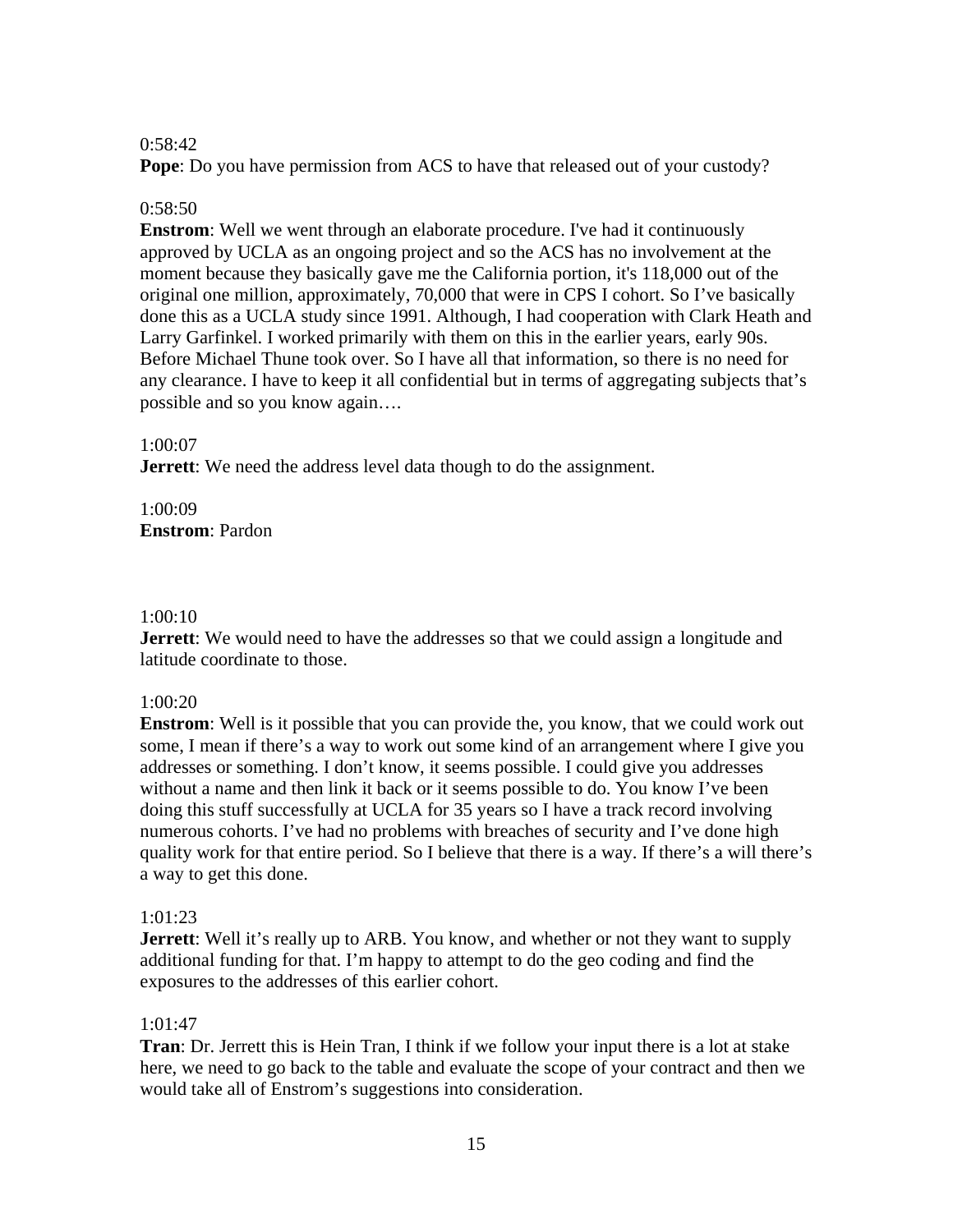# 0:58:42

**Pope**: Do you have permission from ACS to have that released out of your custody?

# $0:58:50$

**Enstrom**: Well we went through an elaborate procedure. I've had it continuously approved by UCLA as an ongoing project and so the ACS has no involvement at the moment because they basically gave me the California portion, it's 118,000 out of the original one million, approximately, 70,000 that were in CPS I cohort. So I've basically done this as a UCLA study since 1991. Although, I had cooperation with Clark Heath and Larry Garfinkel. I worked primarily with them on this in the earlier years, early 90s. Before Michael Thune took over. So I have all that information, so there is no need for any clearance. I have to keep it all confidential but in terms of aggregating subjects that's possible and so you know again….

# 1:00:07

**Jerrett:** We need the address level data though to do the assignment.

1:00:09 **Enstrom**: Pardon

# 1:00:10

**Jerrett:** We would need to have the addresses so that we could assign a longitude and latitude coordinate to those.

# 1:00:20

**Enstrom**: Well is it possible that you can provide the, you know, that we could work out some, I mean if there's a way to work out some kind of an arrangement where I give you addresses or something. I don't know, it seems possible. I could give you addresses without a name and then link it back or it seems possible to do. You know I've been doing this stuff successfully at UCLA for 35 years so I have a track record involving numerous cohorts. I've had no problems with breaches of security and I've done high quality work for that entire period. So I believe that there is a way. If there's a will there's a way to get this done.

# 1:01:23

**Jerrett:** Well it's really up to ARB. You know, and whether or not they want to supply additional funding for that. I'm happy to attempt to do the geo coding and find the exposures to the addresses of this earlier cohort.

# 1:01:47

**Tran**: Dr. Jerrett this is Hein Tran, I think if we follow your input there is a lot at stake here, we need to go back to the table and evaluate the scope of your contract and then we would take all of Enstrom's suggestions into consideration.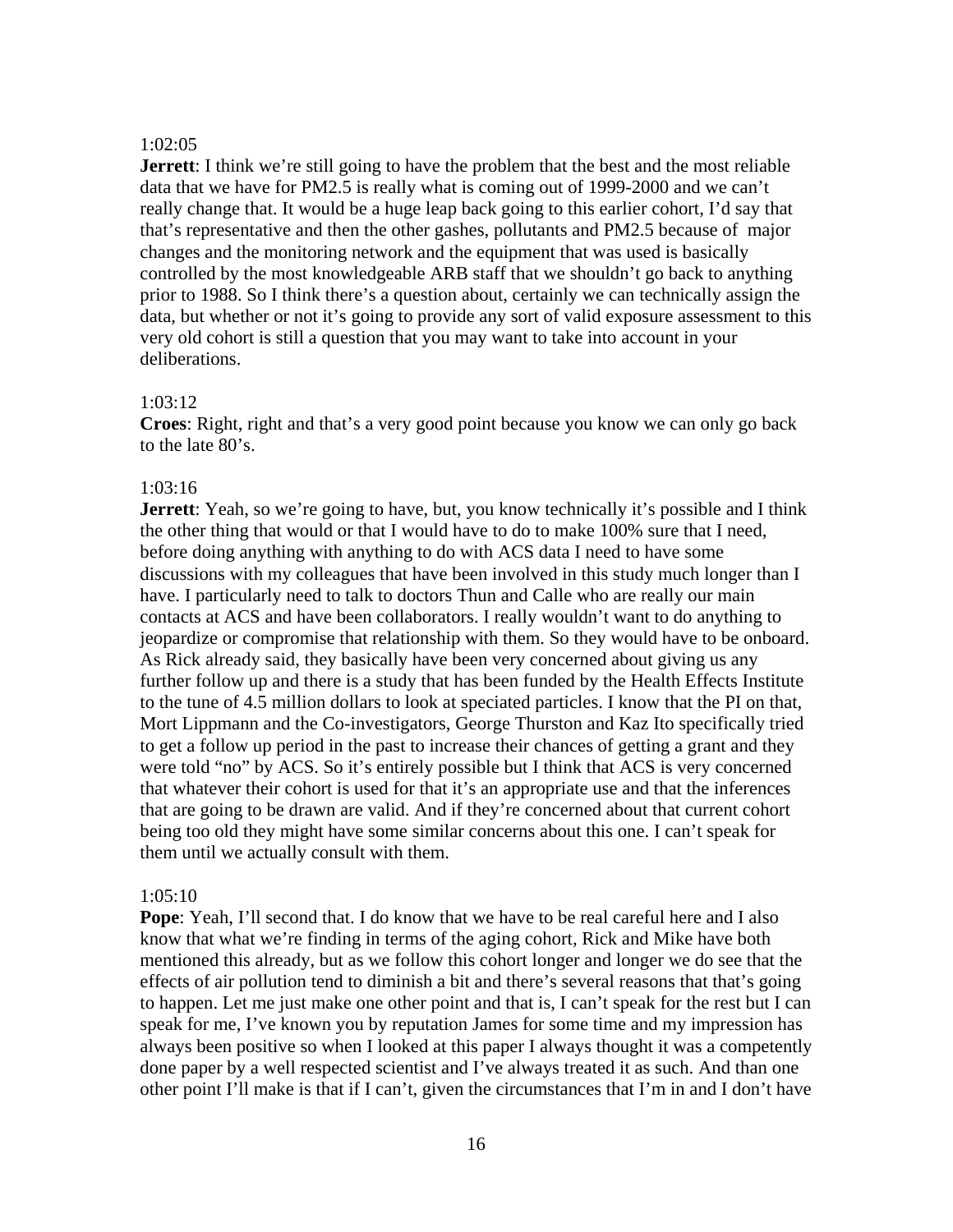### 1:02:05

**Jerrett**: I think we're still going to have the problem that the best and the most reliable data that we have for PM2.5 is really what is coming out of 1999-2000 and we can't really change that. It would be a huge leap back going to this earlier cohort, I'd say that that's representative and then the other gashes, pollutants and PM2.5 because of major changes and the monitoring network and the equipment that was used is basically controlled by the most knowledgeable ARB staff that we shouldn't go back to anything prior to 1988. So I think there's a question about, certainly we can technically assign the data, but whether or not it's going to provide any sort of valid exposure assessment to this very old cohort is still a question that you may want to take into account in your deliberations.

# 1:03:12

**Croes**: Right, right and that's a very good point because you know we can only go back to the late 80's.

# 1:03:16

**Jerrett**: Yeah, so we're going to have, but, you know technically it's possible and I think the other thing that would or that I would have to do to make 100% sure that I need, before doing anything with anything to do with ACS data I need to have some discussions with my colleagues that have been involved in this study much longer than I have. I particularly need to talk to doctors Thun and Calle who are really our main contacts at ACS and have been collaborators. I really wouldn't want to do anything to jeopardize or compromise that relationship with them. So they would have to be onboard. As Rick already said, they basically have been very concerned about giving us any further follow up and there is a study that has been funded by the Health Effects Institute to the tune of 4.5 million dollars to look at speciated particles. I know that the PI on that, Mort Lippmann and the Co-investigators, George Thurston and Kaz Ito specifically tried to get a follow up period in the past to increase their chances of getting a grant and they were told "no" by ACS. So it's entirely possible but I think that ACS is very concerned that whatever their cohort is used for that it's an appropriate use and that the inferences that are going to be drawn are valid. And if they're concerned about that current cohort being too old they might have some similar concerns about this one. I can't speak for them until we actually consult with them.

### 1:05:10

**Pope**: Yeah, I'll second that. I do know that we have to be real careful here and I also know that what we're finding in terms of the aging cohort, Rick and Mike have both mentioned this already, but as we follow this cohort longer and longer we do see that the effects of air pollution tend to diminish a bit and there's several reasons that that's going to happen. Let me just make one other point and that is, I can't speak for the rest but I can speak for me, I've known you by reputation James for some time and my impression has always been positive so when I looked at this paper I always thought it was a competently done paper by a well respected scientist and I've always treated it as such. And than one other point I'll make is that if I can't, given the circumstances that I'm in and I don't have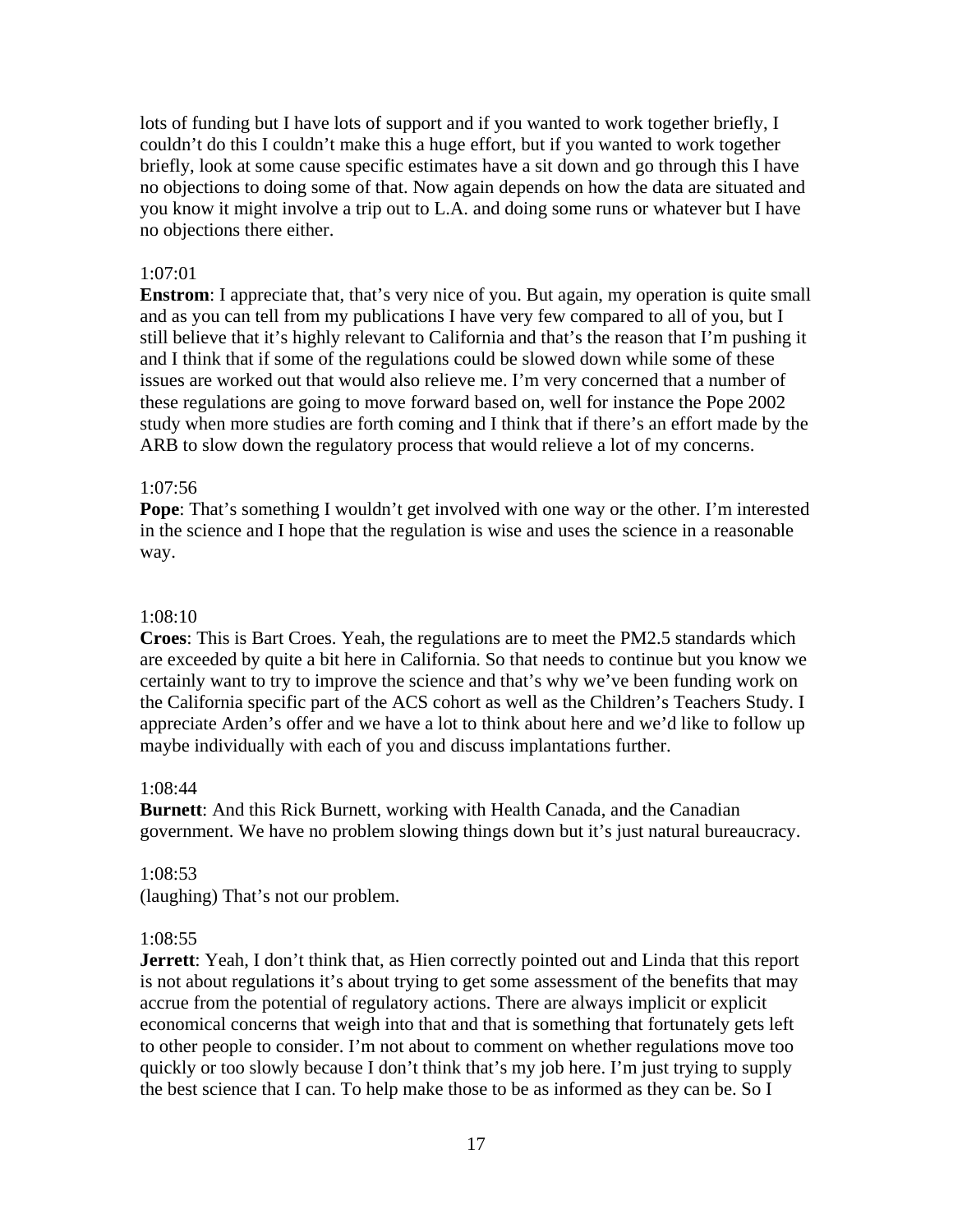lots of funding but I have lots of support and if you wanted to work together briefly, I couldn't do this I couldn't make this a huge effort, but if you wanted to work together briefly, look at some cause specific estimates have a sit down and go through this I have no objections to doing some of that. Now again depends on how the data are situated and you know it might involve a trip out to L.A. and doing some runs or whatever but I have no objections there either.

## 1:07:01

**Enstrom**: I appreciate that, that's very nice of you. But again, my operation is quite small and as you can tell from my publications I have very few compared to all of you, but I still believe that it's highly relevant to California and that's the reason that I'm pushing it and I think that if some of the regulations could be slowed down while some of these issues are worked out that would also relieve me. I'm very concerned that a number of these regulations are going to move forward based on, well for instance the Pope 2002 study when more studies are forth coming and I think that if there's an effort made by the ARB to slow down the regulatory process that would relieve a lot of my concerns.

## 1:07:56

**Pope**: That's something I wouldn't get involved with one way or the other. I'm interested in the science and I hope that the regulation is wise and uses the science in a reasonable way.

## 1:08:10

**Croes**: This is Bart Croes. Yeah, the regulations are to meet the PM2.5 standards which are exceeded by quite a bit here in California. So that needs to continue but you know we certainly want to try to improve the science and that's why we've been funding work on the California specific part of the ACS cohort as well as the Children's Teachers Study. I appreciate Arden's offer and we have a lot to think about here and we'd like to follow up maybe individually with each of you and discuss implantations further.

### 1:08:44

**Burnett**: And this Rick Burnett, working with Health Canada, and the Canadian government. We have no problem slowing things down but it's just natural bureaucracy.

# 1:08:53

(laughing) That's not our problem.

### 1:08:55

**Jerrett**: Yeah, I don't think that, as Hien correctly pointed out and Linda that this report is not about regulations it's about trying to get some assessment of the benefits that may accrue from the potential of regulatory actions. There are always implicit or explicit economical concerns that weigh into that and that is something that fortunately gets left to other people to consider. I'm not about to comment on whether regulations move too quickly or too slowly because I don't think that's my job here. I'm just trying to supply the best science that I can. To help make those to be as informed as they can be. So I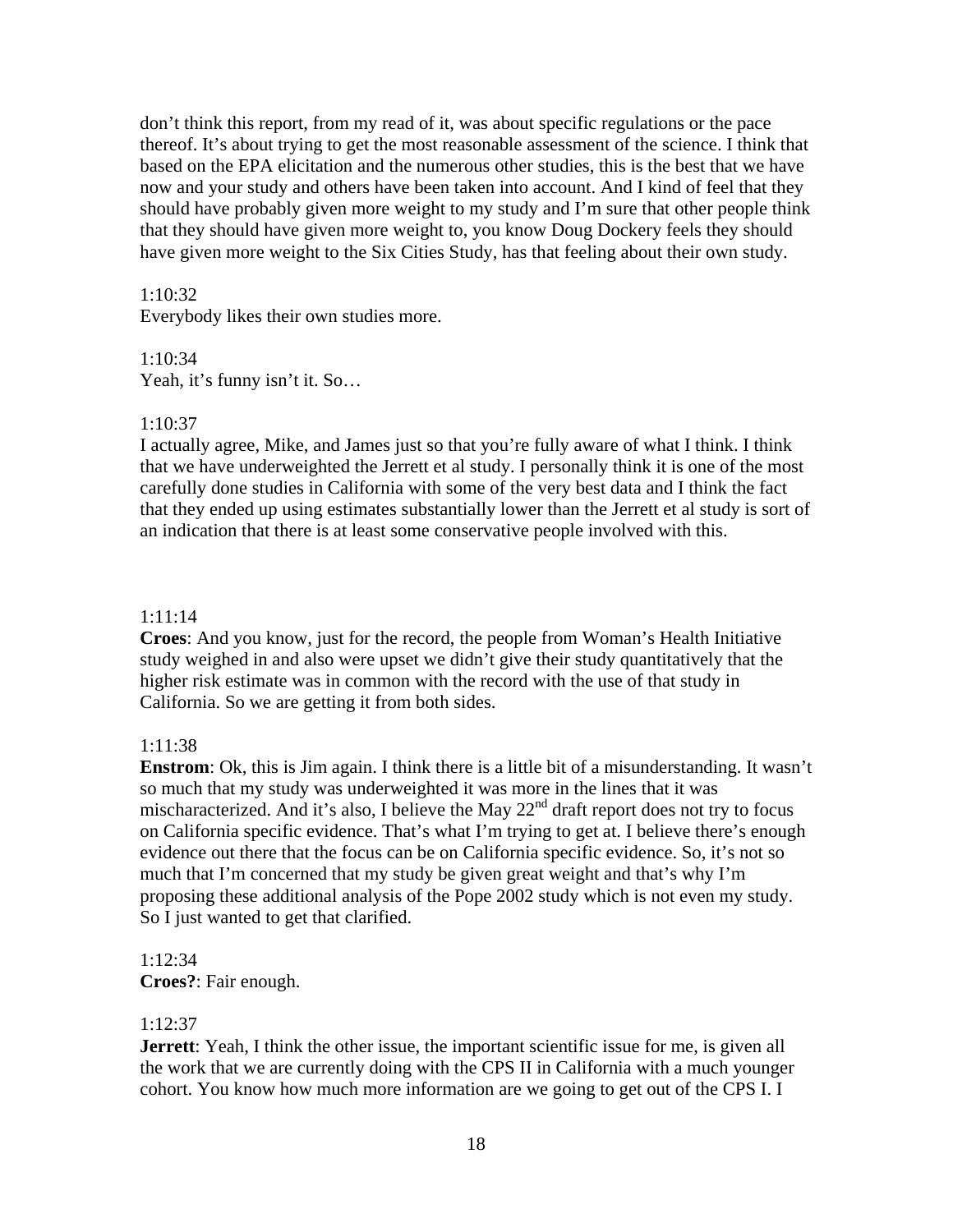don't think this report, from my read of it, was about specific regulations or the pace thereof. It's about trying to get the most reasonable assessment of the science. I think that based on the EPA elicitation and the numerous other studies, this is the best that we have now and your study and others have been taken into account. And I kind of feel that they should have probably given more weight to my study and I'm sure that other people think that they should have given more weight to, you know Doug Dockery feels they should have given more weight to the Six Cities Study, has that feeling about their own study.

# 1:10:32

Everybody likes their own studies more.

# 1:10:34

Yeah, it's funny isn't it. So…

# $1:10:37$

I actually agree, Mike, and James just so that you're fully aware of what I think. I think that we have underweighted the Jerrett et al study. I personally think it is one of the most carefully done studies in California with some of the very best data and I think the fact that they ended up using estimates substantially lower than the Jerrett et al study is sort of an indication that there is at least some conservative people involved with this.

# 1:11:14

**Croes**: And you know, just for the record, the people from Woman's Health Initiative study weighed in and also were upset we didn't give their study quantitatively that the higher risk estimate was in common with the record with the use of that study in California. So we are getting it from both sides.

# 1:11:38

**Enstrom**: Ok, this is Jim again. I think there is a little bit of a misunderstanding. It wasn't so much that my study was underweighted it was more in the lines that it was mischaracterized. And it's also, I believe the May  $22<sup>nd</sup>$  draft report does not try to focus on California specific evidence. That's what I'm trying to get at. I believe there's enough evidence out there that the focus can be on California specific evidence. So, it's not so much that I'm concerned that my study be given great weight and that's why I'm proposing these additional analysis of the Pope 2002 study which is not even my study. So I just wanted to get that clarified.

# 1:12:34 **Croes?**: Fair enough.

# 1:12:37

**Jerrett**: Yeah, I think the other issue, the important scientific issue for me, is given all the work that we are currently doing with the CPS II in California with a much younger cohort. You know how much more information are we going to get out of the CPS I. I